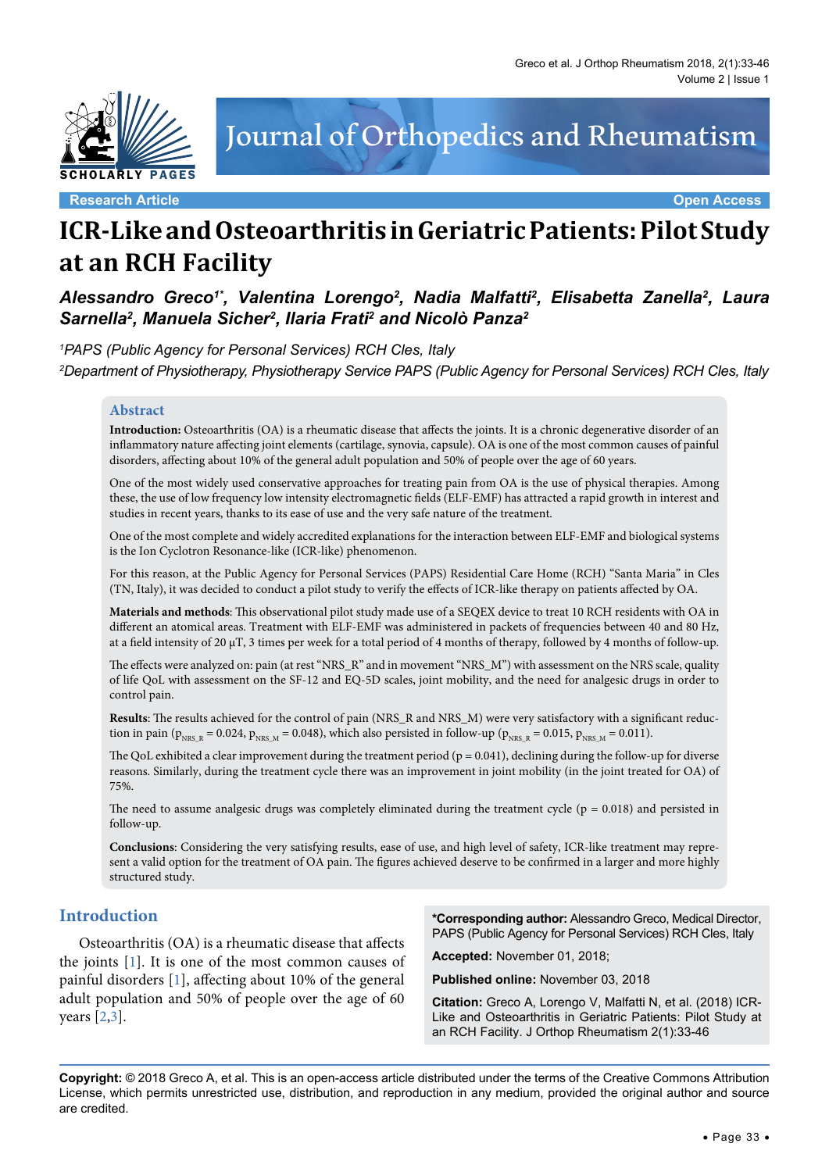

# Journal of Orthopedics and Rheumatism

**Research Article Open Access**

## **ICR-Like and Osteoarthritis in Geriatric Patients: Pilot Study at an RCH Facility**

Alessandro Greco<sup>1\*</sup>, Valentina Lorengo<sup>2</sup>, Nadia Malfatti<sup>2</sup>, Elisabetta Zanella<sup>2</sup>, Laura *Sarnella2 , Manuela Sicher2 , Ilaria Frati2 and Nicolò Panza2*

*1 PAPS (Public Agency for Personal Services) RCH Cles, Italy 2 Department of Physiotherapy, Physiotherapy Service PAPS (Public Agency for Personal Services) RCH Cles, Italy*

#### **Abstract**

Introduction: Osteoarthritis (OA) is a rheumatic disease that affects the joints. It is a chronic degenerative disorder of an inflammatory nature affecting joint elements (cartilage, synovia, capsule). OA is one of the most common causes of painful disorders, affecting about 10% of the general adult population and 50% of people over the age of 60 years.

One of the most widely used conservative approaches for treating pain from OA is the use of physical therapies. Among these, the use of low frequency low intensity electromagnetic fields (ELF-EMF) has attracted a rapid growth in interest and studies in recent years, thanks to its ease of use and the very safe nature of the treatment.

One of the most complete and widely accredited explanations for the interaction between ELF-EMF and biological systems is the Ion Cyclotron Resonance-like (ICR-like) phenomenon.

For this reason, at the Public Agency for Personal Services (PAPS) Residential Care Home (RCH) "Santa Maria" in Cles (TN, Italy), it was decided to conduct a pilot study to verify the effects of ICR-like therapy on patients affected by OA.

**Materials and methods**: This observational pilot study made use of a SEQEX device to treat 10 RCH residents with OA in different an atomical areas. Treatment with ELF-EMF was administered in packets of frequencies between 40 and 80 Hz, at a field intensity of 20 µT, 3 times per week for a total period of 4 months of therapy, followed by 4 months of follow-up.

The effects were analyzed on: pain (at rest "NRS\_R" and in movement "NRS\_M") with assessment on the NRS scale, quality of life QoL with assessment on the SF-12 and EQ-5D scales, joint mobility, and the need for analgesic drugs in order to control pain.

**Results**: The results achieved for the control of pain (NRS\_R and NRS\_M) were very satisfactory with a significant reduction in pain ( $p_{NRS_R} = 0.024$ ,  $p_{NRS_M} = 0.048$ ), which also persisted in follow-up ( $p_{NRS_R} = 0.015$ ,  $p_{NRS_M} = 0.011$ ).

The QoL exhibited a clear improvement during the treatment period  $(p = 0.041)$ , declining during the follow-up for diverse reasons. Similarly, during the treatment cycle there was an improvement in joint mobility (in the joint treated for OA) of 75%.

The need to assume analgesic drugs was completely eliminated during the treatment cycle ( $p = 0.018$ ) and persisted in follow-up.

**Conclusions**: Considering the very satisfying results, ease of use, and high level of safety, ICR-like treatment may represent a valid option for the treatment of OA pain. The figures achieved deserve to be confirmed in a larger and more highly structured study.

## **Introduction**

Osteoarthritis (OA) is a rheumatic disease that affects the joints [[1\]](#page-11-0). It is one of the most common causes of painful disorders [[1\]](#page-11-0), affecting about 10% of the general adult population and 50% of people over the age of 60 years [\[2](#page-11-1)[,3\]](#page-11-2).

**\*Corresponding author:** Alessandro Greco, Medical Director, PAPS (Public Agency for Personal Services) RCH Cles, Italy

**Accepted:** November 01, 2018;

**Published online:** November 03, 2018

**Citation:** Greco A, Lorengo V, Malfatti N, et al. (2018) ICR-Like and Osteoarthritis in Geriatric Patients: Pilot Study at an RCH Facility. J Orthop Rheumatism 2(1):33-46

**Copyright:** © 2018 Greco A, et al. This is an open-access article distributed under the terms of the Creative Commons Attribution License, which permits unrestricted use, distribution, and reproduction in any medium, provided the original author and source are credited.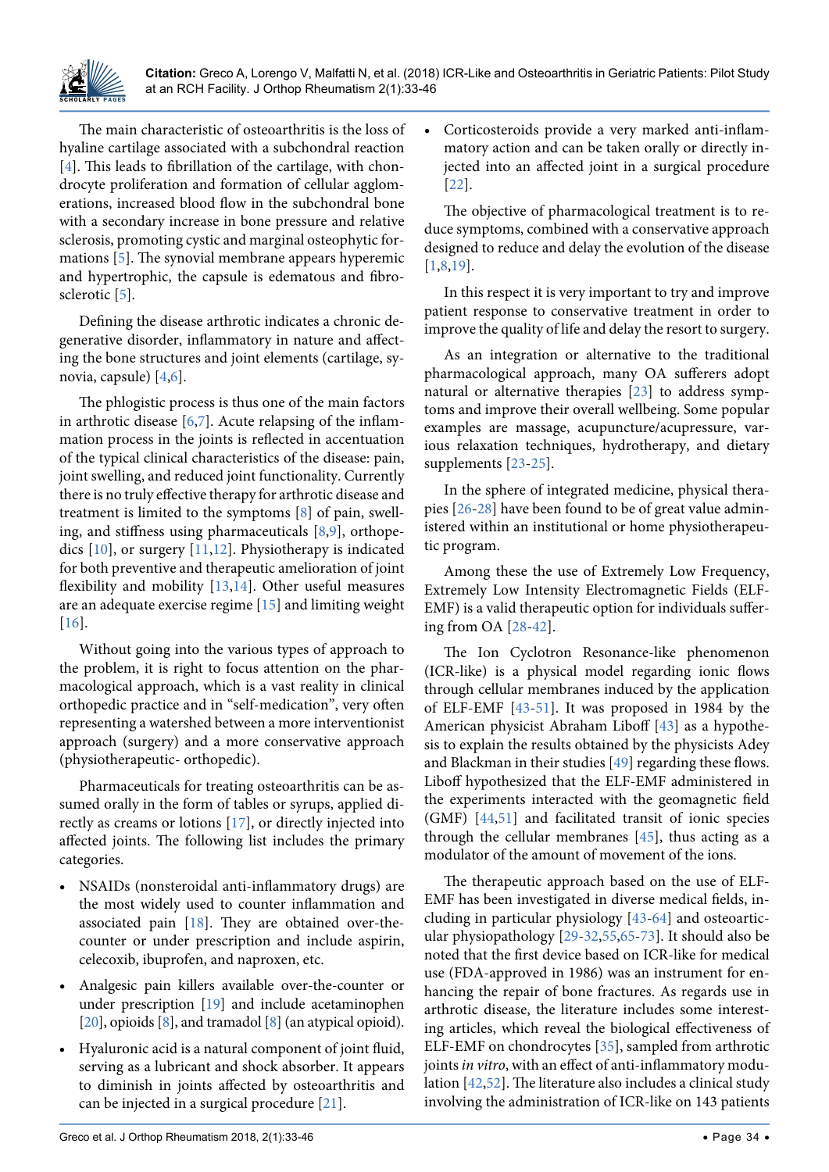

The main characteristic of osteoarthritis is the loss of hyaline cartilage associated with a subchondral reaction [\[4\]](#page-11-3). This leads to fibrillation of the cartilage, with chondrocyte proliferation and formation of cellular agglomerations, increased blood flow in the subchondral bone with a secondary increase in bone pressure and relative sclerosis, promoting cystic and marginal osteophytic formations [[5\]](#page-11-4). The synovial membrane appears hyperemic and hypertrophic, the capsule is edematous and fibrosclerotic [[5\]](#page-11-4).

Defining the disease arthrotic indicates a chronic degenerative disorder, inflammatory in nature and affecting the bone structures and joint elements (cartilage, synovia, capsule) [[4](#page-11-3)[,6\]](#page-11-5).

The phlogistic process is thus one of the main factors in arthrotic disease  $[6,7]$  $[6,7]$  $[6,7]$ . Acute relapsing of the inflammation process in the joints is reflected in accentuation of the typical clinical characteristics of the disease: pain, joint swelling, and reduced joint functionality. Currently there is no truly effective therapy for arthrotic disease and treatment is limited to the symptoms [[8\]](#page-11-7) of pain, swelling, and stiffness using pharmaceuticals  $[8,9]$  $[8,9]$  $[8,9]$  $[8,9]$ , orthopedics [[10](#page-11-9)], or surgery [[11](#page-11-10),[12](#page-11-11)]. Physiotherapy is indicated for both preventive and therapeutic amelioration of joint flexibility and mobility [\[13](#page-11-12)[,14\]](#page-11-13). Other useful measures are an adequate exercise regime [[15](#page-11-14)] and limiting weight [\[16\]](#page-11-15).

Without going into the various types of approach to the problem, it is right to focus attention on the pharmacological approach, which is a vast reality in clinical orthopedic practice and in "self-medication", very often representing a watershed between a more interventionist approach (surgery) and a more conservative approach (physiotherapeutic- orthopedic).

Pharmaceuticals for treating osteoarthritis can be assumed orally in the form of tables or syrups, applied directly as creams or lotions [[17](#page-11-16)], or directly injected into affected joints. The following list includes the primary categories.

- **NSAIDs** (nonsteroidal anti-inflammatory drugs) are the most widely used to counter inflammation and associated pain [\[18\]](#page-11-17). They are obtained over-thecounter or under prescription and include aspirin, celecoxib, ibuprofen, and naproxen, etc.
- Analgesic pain killers available over-the-counter or under prescription [[19](#page-11-18)] and include acetaminophen [\[20\]](#page-11-19), opioids [[8\]](#page-11-7), and tramadol [8] (an atypical opioid).
- Hyaluronic acid is a natural component of joint fluid, serving as a lubricant and shock absorber. It appears to diminish in joints affected by osteoarthritis and can be injected in a surgical procedure [[21\]](#page-11-20).

Corticosteroids provide a very marked anti-inflammatory action and can be taken orally or directly injected into an affected joint in a surgical procedure [[22](#page-11-21)].

The objective of pharmacological treatment is to reduce symptoms, combined with a conservative approach designed to reduce and delay the evolution of the disease [[1](#page-11-0)[,8,](#page-11-7)[19\]](#page-11-18).

In this respect it is very important to try and improve patient response to conservative treatment in order to improve the quality of life and delay the resort to surgery.

As an integration or alternative to the traditional pharmacological approach, many OA sufferers adopt natural or alternative therapies [[23](#page-12-0)] to address symptoms and improve their overall wellbeing. Some popular examples are massage, acupuncture/acupressure, various relaxation techniques, hydrotherapy, and dietary supplements [[23-](#page-12-0)[25\]](#page-12-1).

In the sphere of integrated medicine, physical therapies [\[26-](#page-12-2)[28](#page-12-3)] have been found to be of great value administered within an institutional or home physiotherapeutic program.

Among these the use of Extremely Low Frequency, Extremely Low Intensity Electromagnetic Fields (ELF-EMF) is a valid therapeutic option for individuals suffering from OA [[28](#page-12-3)[-42\]](#page-12-4).

The Ion Cyclotron Resonance-like phenomenon (ICR-like) is a physical model regarding ionic flows through cellular membranes induced by the application of ELF-EMF [\[43-](#page-12-5)[51](#page-12-6)]. It was proposed in 1984 by the American physicist Abraham Liboff [[43](#page-12-5)] as a hypothesis to explain the results obtained by the physicists Adey and Blackman in their studies [[49](#page-12-7)] regarding these flows. Liboff hypothesized that the ELF-EMF administered in the experiments interacted with the geomagnetic field (GMF) [[44](#page-12-8),[51](#page-12-6)] and facilitated transit of ionic species through the cellular membranes [\[45\]](#page-12-9), thus acting as a modulator of the amount of movement of the ions.

The therapeutic approach based on the use of ELF-EMF has been investigated in diverse medical fields, including in particular physiology [\[43-](#page-12-5)[64](#page-13-0)] and osteoarticular physiopathology [[29-](#page-12-10)[32](#page-12-11),[55](#page-12-12),[65](#page-13-1)[-73\]](#page-13-2). It should also be noted that the first device based on ICR-like for medical use (FDA-approved in 1986) was an instrument for enhancing the repair of bone fractures. As regards use in arthrotic disease, the literature includes some interesting articles, which reveal the biological effectiveness of ELF-EMF on chondrocytes [[35](#page-12-13)], sampled from arthrotic joints *in vitro*, with an effect of anti-inflammatory modulation [\[42](#page-12-4)[,52\]](#page-12-14). The literature also includes a clinical study involving the administration of ICR-like on 143 patients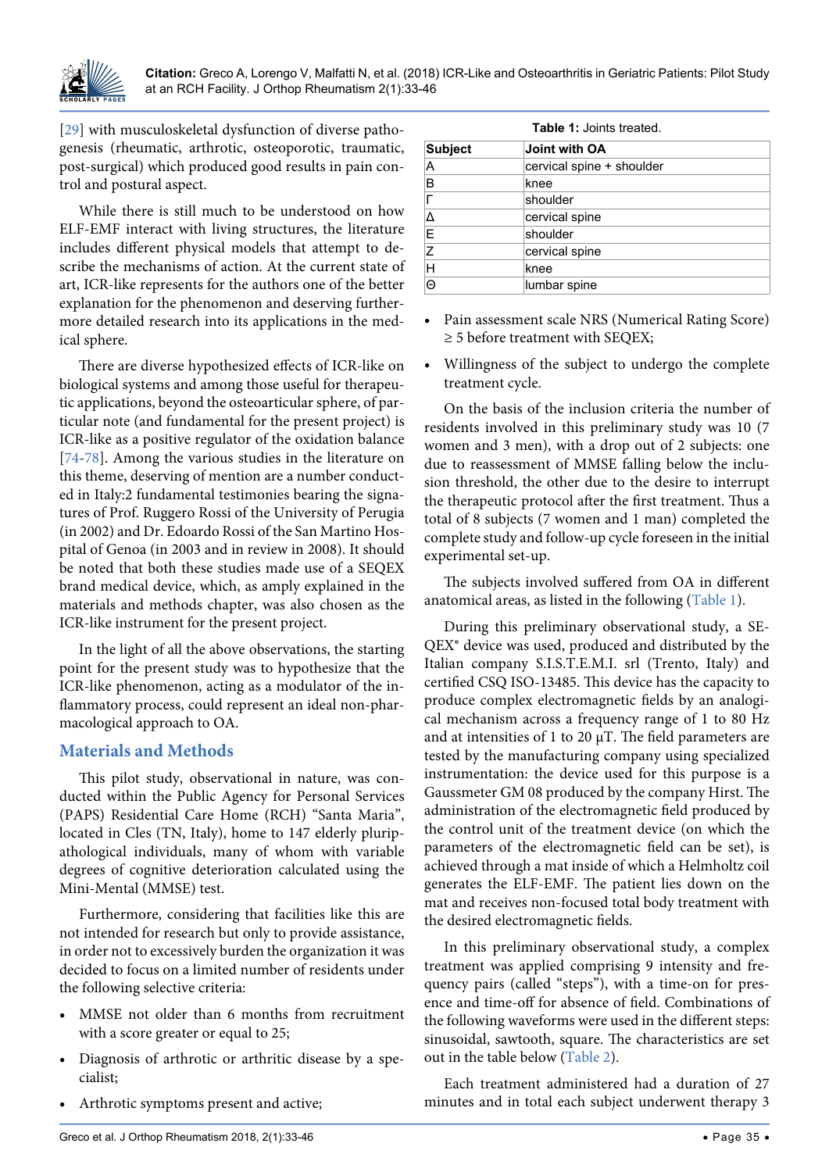

[\[29\]](#page-12-10) with musculoskeletal dysfunction of diverse pathogenesis (rheumatic, arthrotic, osteoporotic, traumatic, post-surgical) which produced good results in pain control and postural aspect.

While there is still much to be understood on how ELF-EMF interact with living structures, the literature includes different physical models that attempt to describe the mechanisms of action. At the current state of art, ICR-like represents for the authors one of the better explanation for the phenomenon and deserving furthermore detailed research into its applications in the medical sphere.

There are diverse hypothesized effects of ICR-like on biological systems and among those useful for therapeutic applications, beyond the osteoarticular sphere, of particular note (and fundamental for the present project) is ICR-like as a positive regulator of the oxidation balance [\[74-](#page-13-3)[78](#page-13-4)]. Among the various studies in the literature on this theme, deserving of mention are a number conducted in Italy:2 fundamental testimonies bearing the signatures of Prof. Ruggero Rossi of the University of Perugia (in 2002) and Dr. Edoardo Rossi of the San Martino Hospital of Genoa (in 2003 and in review in 2008). It should be noted that both these studies made use of a SEQEX brand medical device, which, as amply explained in the materials and methods chapter, was also chosen as the ICR-like instrument for the present project.

In the light of all the above observations, the starting point for the present study was to hypothesize that the ICR-like phenomenon, acting as a modulator of the inflammatory process, could represent an ideal non-pharmacological approach to OA.

## **Materials and Methods**

This pilot study, observational in nature, was conducted within the Public Agency for Personal Services (PAPS) Residential Care Home (RCH) "Santa Maria", located in Cles (TN, Italy), home to 147 elderly pluripathological individuals, many of whom with variable degrees of cognitive deterioration calculated using the Mini-Mental (MMSE) test.

Furthermore, considering that facilities like this are not intended for research but only to provide assistance, in order not to excessively burden the organization it was decided to focus on a limited number of residents under the following selective criteria:

- MMSE not older than 6 months from recruitment with a score greater or equal to 25;
- Diagnosis of arthrotic or arthritic disease by a specialist;
- **•**  Arthrotic symptoms present and active;

<span id="page-2-0"></span>

| <b>Table 1: Joints treated.</b> |                           |  |  |
|---------------------------------|---------------------------|--|--|
| <b>Subject</b>                  | Joint with OA             |  |  |
| А                               | cervical spine + shoulder |  |  |
| B                               | knee                      |  |  |
| г                               | shoulder                  |  |  |
| Δ                               | cervical spine            |  |  |
| E                               | shoulder                  |  |  |
| Z                               | cervical spine            |  |  |
| Н                               | knee                      |  |  |
| ⊝                               | lumbar spine              |  |  |

- **•**  Pain assessment scale NRS (Numerical Rating Score)  $\geq$  5 before treatment with SEQEX;
- **•**  Willingness of the subject to undergo the complete treatment cycle.

On the basis of the inclusion criteria the number of residents involved in this preliminary study was 10 (7 women and 3 men), with a drop out of 2 subjects: one due to reassessment of MMSE falling below the inclusion threshold, the other due to the desire to interrupt the therapeutic protocol after the first treatment. Thus a total of 8 subjects (7 women and 1 man) completed the complete study and follow-up cycle foreseen in the initial experimental set-up.

The subjects involved suffered from OA in different anatomical areas, as listed in the following ([Table 1](#page-2-0)).

During this preliminary observational study, a SE-QEX® device was used, produced and distributed by the Italian company S.I.S.T.E.M.I. srl (Trento, Italy) and certified CSQ ISO-13485. This device has the capacity to produce complex electromagnetic fields by an analogical mechanism across a frequency range of 1 to 80 Hz and at intensities of 1 to 20  $\mu$ T. The field parameters are tested by the manufacturing company using specialized instrumentation: the device used for this purpose is a Gaussmeter GM 08 produced by the company Hirst. The administration of the electromagnetic field produced by the control unit of the treatment device (on which the parameters of the electromagnetic field can be set), is achieved through a mat inside of which a Helmholtz coil generates the ELF-EMF. The patient lies down on the mat and receives non-focused total body treatment with the desired electromagnetic fields.

In this preliminary observational study, a complex treatment was applied comprising 9 intensity and frequency pairs (called "steps"), with a time-on for presence and time-off for absence of field. Combinations of the following waveforms were used in the different steps: sinusoidal, sawtooth, square. The characteristics are set out in the table below [\(Table 2\)](#page-3-0).

Each treatment administered had a duration of 27 minutes and in total each subject underwent therapy 3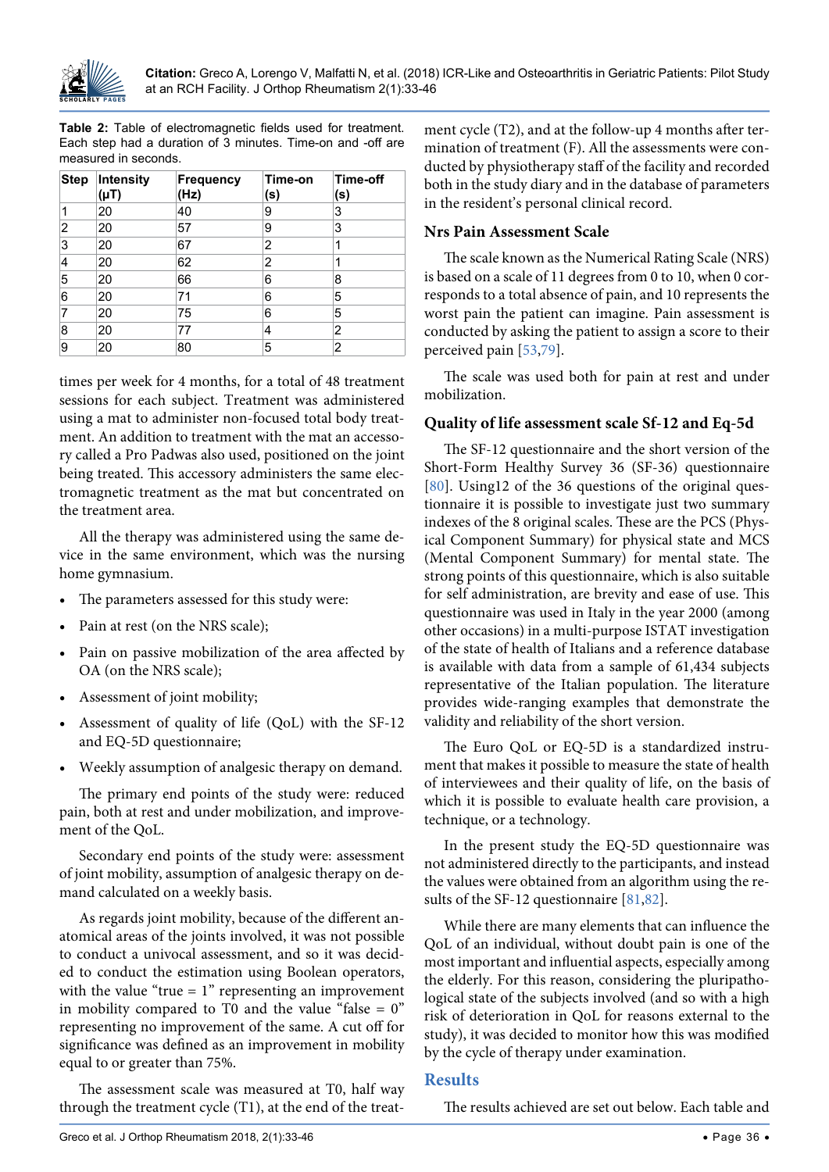

<span id="page-3-0"></span>**Table 2:** Table of electromagnetic fields used for treatment. Each step had a duration of 3 minutes. Time-on and -off are measured in seconds.

| <b>Step</b> | <b>Intensity</b><br>(µT) | <b>Frequency</b><br>(Hz) | Time-on<br>(s) | Time-off<br>(s) |
|-------------|--------------------------|--------------------------|----------------|-----------------|
| 1           | 20                       | 40                       | 9              | 3               |
| 2           | 20                       | 57                       | 9              | 3               |
| 3           | 20                       | 67                       | 2              | 1               |
| 4           | 20                       | 62                       | 2              | 1               |
| 5           | 20                       | 66                       | 6              | 8               |
| 6           | 20                       | 71                       | 6              | 5               |
| 7           | 20                       | 75                       | 6              | 5               |
| 8           | 20                       | 77                       | 4              | 2               |
| 9           | 20                       | 80                       | 5              | 2               |

times per week for 4 months, for a total of 48 treatment sessions for each subject. Treatment was administered using a mat to administer non-focused total body treatment. An addition to treatment with the mat an accessory called a Pro Padwas also used, positioned on the joint being treated. This accessory administers the same electromagnetic treatment as the mat but concentrated on the treatment area.

All the therapy was administered using the same device in the same environment, which was the nursing home gymnasium.

- The parameters assessed for this study were:
- Pain at rest (on the NRS scale);
- Pain on passive mobilization of the area affected by OA (on the NRS scale);
- **•**  Assessment of joint mobility;
- Assessment of quality of life (QoL) with the SF-12 and EQ-5D questionnaire;
- Weekly assumption of analgesic therapy on demand.

The primary end points of the study were: reduced pain, both at rest and under mobilization, and improvement of the QoL.

Secondary end points of the study were: assessment of joint mobility, assumption of analgesic therapy on demand calculated on a weekly basis.

As regards joint mobility, because of the different anatomical areas of the joints involved, it was not possible to conduct a univocal assessment, and so it was decided to conduct the estimation using Boolean operators, with the value "true  $= 1$ " representing an improvement in mobility compared to T0 and the value "false  $= 0$ " representing no improvement of the same. A cut off for significance was defined as an improvement in mobility equal to or greater than 75%.

The assessment scale was measured at T0, half way through the treatment cycle (T1), at the end of the treat-

ment cycle (T2), and at the follow-up 4 months after termination of treatment (F). All the assessments were conducted by physiotherapy staff of the facility and recorded both in the study diary and in the database of parameters in the resident's personal clinical record.

#### **Nrs Pain Assessment Scale**

The scale known as the Numerical Rating Scale (NRS) is based on a scale of 11 degrees from 0 to 10, when 0 corresponds to a total absence of pain, and 10 represents the worst pain the patient can imagine. Pain assessment is conducted by asking the patient to assign a score to their perceived pain [\[53](#page-12-15),[79](#page-13-5)].

The scale was used both for pain at rest and under mobilization.

#### **Quality of life assessment scale Sf-12 and Eq-5d**

The SF-12 questionnaire and the short version of the Short-Form Healthy Survey 36 (SF-36) questionnaire [[80](#page-13-6)]. Using12 of the 36 questions of the original questionnaire it is possible to investigate just two summary indexes of the 8 original scales. These are the PCS (Physical Component Summary) for physical state and MCS (Mental Component Summary) for mental state. The strong points of this questionnaire, which is also suitable for self administration, are brevity and ease of use. This questionnaire was used in Italy in the year 2000 (among other occasions) in a multi-purpose ISTAT investigation of the state of health of Italians and a reference database is available with data from a sample of 61,434 subjects representative of the Italian population. The literature provides wide-ranging examples that demonstrate the validity and reliability of the short version.

The Euro QoL or EQ-5D is a standardized instrument that makes it possible to measure the state of health of interviewees and their quality of life, on the basis of which it is possible to evaluate health care provision, a technique, or a technology.

In the present study the EQ-5D questionnaire was not administered directly to the participants, and instead the values were obtained from an algorithm using the results of the SF-12 questionnaire [[81,](#page-13-7)[82\]](#page-13-8).

While there are many elements that can influence the QoL of an individual, without doubt pain is one of the most important and influential aspects, especially among the elderly. For this reason, considering the pluripathological state of the subjects involved (and so with a high risk of deterioration in QoL for reasons external to the study), it was decided to monitor how this was modified by the cycle of therapy under examination.

#### **Results**

The results achieved are set out below. Each table and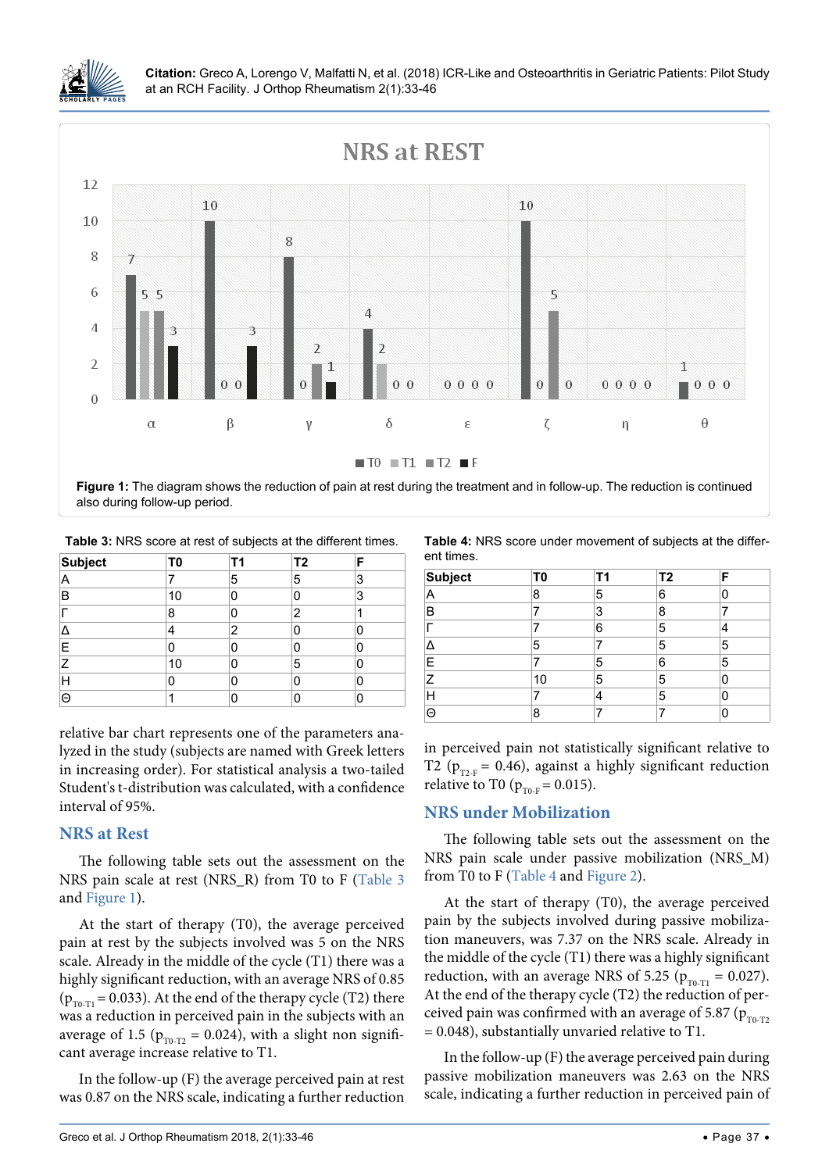

<span id="page-4-2"></span>

<span id="page-4-1"></span>**Table 3:** NRS score at rest of subjects at the different times.

| <b>Subject</b> | T <sub>0</sub> | Τ1 | T <sub>2</sub> | F |
|----------------|----------------|----|----------------|---|
| А              |                | 5  | 5              | 3 |
| в              | 10             | n  | 0              | 3 |
|                | 8              |    | 2              |   |
|                |                | 2  | n              | C |
| E              | O              |    | ი              | n |
| 7              | 10             |    | 5              | O |
| н              | 0              | ი  | 0              | 0 |
| ⊝              |                |    |                | 0 |

relative bar chart represents one of the parameters analyzed in the study (subjects are named with Greek letters in increasing order). For statistical analysis a two-tailed Student's t-distribution was calculated, with a confidence interval of 95%.

## **NRS at Rest**

The following table sets out the assessment on the NRS pain scale at rest (NRS\_R) from T0 to F ([Table 3](#page-4-1) and [Figure 1\)](#page-4-2).

At the start of therapy (T0), the average perceived pain at rest by the subjects involved was 5 on the NRS scale. Already in the middle of the cycle (T1) there was a highly significant reduction, with an average NRS of 0.85 ( $p_{T0-T1}$  = 0.033). At the end of the therapy cycle (T2) there was a reduction in perceived pain in the subjects with an average of 1.5 ( $p_{T0-T2} = 0.024$ ), with a slight non significant average increase relative to T1.

In the follow-up (F) the average perceived pain at rest was 0.87 on the NRS scale, indicating a further reduction

<span id="page-4-0"></span>**Table 4:** NRS score under movement of subjects at the different times.

| <b>Subject</b> | T0 | Τ1 | T <sub>2</sub> | F |
|----------------|----|----|----------------|---|
| А              | 8  | 5  | 6              | U |
| B              |    | 3  | 8              |   |
|                |    | 6  | 5              |   |
|                | 5  |    | 5              | 5 |
| Е              |    | 5  | 6              | 5 |
| 7              | 10 | 5  | 5              | ი |
|                |    |    | 5              | Ω |
| ⊝              | 8  |    |                | Ω |

in perceived pain not statistically significant relative to T2 ( $p_{T2-F}$  = 0.46), against a highly significant reduction relative to T0 ( $p_{T0,F} = 0.015$ ).

## **NRS under Mobilization**

The following table sets out the assessment on the NRS pain scale under passive mobilization (NRS\_M) from T0 to F [\(Table 4](#page-4-0) and [Figure 2\)](#page-5-0).

At the start of therapy (T0), the average perceived pain by the subjects involved during passive mobilization maneuvers, was 7.37 on the NRS scale. Already in the middle of the cycle (T1) there was a highly significant reduction, with an average NRS of 5.25 ( $p_{\text{TO-T1}} = 0.027$ ). At the end of the therapy cycle (T2) the reduction of perceived pain was confirmed with an average of 5.87 ( $p_{T0-T2}$ ) = 0.048), substantially unvaried relative to T1.

In the follow-up (F) the average perceived pain during passive mobilization maneuvers was 2.63 on the NRS scale, indicating a further reduction in perceived pain of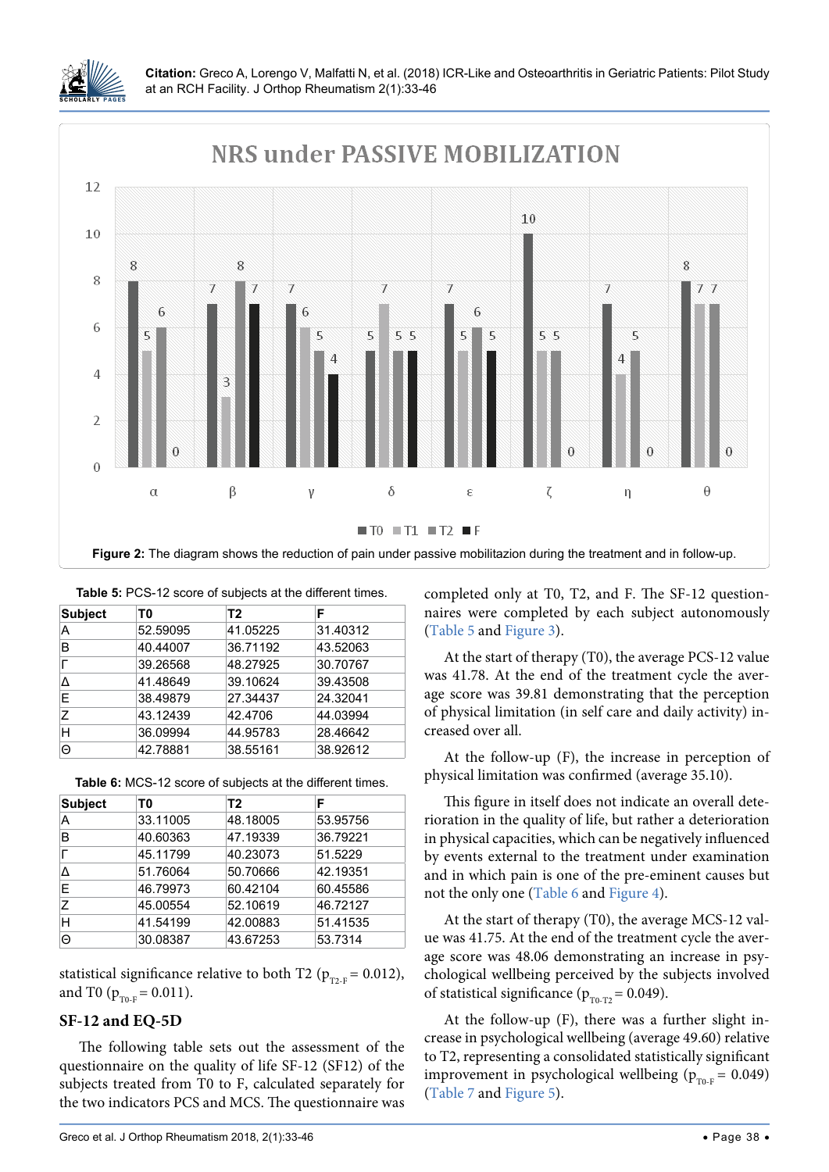

<span id="page-5-0"></span>

| <b>Subject</b> | T0       | T <sub>2</sub> | F        |
|----------------|----------|----------------|----------|
| А              | 52.59095 | 41.05225       | 31.40312 |
| B              | 40.44007 | 36.71192       | 43.52063 |
|                | 39.26568 | 48.27925       | 30.70767 |
| Δ              | 41.48649 | 39.10624       | 39.43508 |
| E              | 38.49879 | 27.34437       | 24.32041 |
| 7              | 43.12439 | 42.4706        | 44.03994 |
| н              | 36.09994 | 44.95783       | 28.46642 |
| Θ              | 42.78881 | 38.55161       | 38.92612 |

<span id="page-5-1"></span>**Table 5:** PCS-12 score of subjects at the different times.

<span id="page-5-2"></span>

| <b>Subject</b> | T0       | T2       | F        |
|----------------|----------|----------|----------|
| А              | 33.11005 | 48.18005 | 53.95756 |
| в              | 40.60363 | 47.19339 | 36.79221 |
|                | 45.11799 | 40.23073 | 51.5229  |
| Δ              | 51.76064 | 50.70666 | 42.19351 |
| F              | 46.79973 | 60.42104 | 60.45586 |
| Ζ              | 45.00554 | 52.10619 | 46.72127 |
| Н              | 41.54199 | 42.00883 | 51.41535 |
| Θ              | 30.08387 | 43.67253 | 53.7314  |

statistical significance relative to both T2 ( $p_{T2-F} = 0.012$ ), and T0 ( $p_{T0-F} = 0.011$ ).

#### **SF-12 and EQ-5D**

The following table sets out the assessment of the questionnaire on the quality of life SF-12 (SF12) of the subjects treated from T0 to F, calculated separately for the two indicators PCS and MCS. The questionnaire was completed only at T0, T2, and F. The SF-12 questionnaires were completed by each subject autonomously ([Table 5](#page-5-1) and [Figure 3\)](#page-6-0).

At the start of therapy (T0), the average PCS-12 value was 41.78. At the end of the treatment cycle the average score was 39.81 demonstrating that the perception of physical limitation (in self care and daily activity) increased over all.

At the follow-up (F), the increase in perception of physical limitation was confirmed (average 35.10).

This figure in itself does not indicate an overall deterioration in the quality of life, but rather a deterioration in physical capacities, which can be negatively influenced by events external to the treatment under examination and in which pain is one of the pre-eminent causes but not the only one [\(Table 6](#page-5-2) and [Figure 4\)](#page-6-1).

At the start of therapy (T0), the average MCS-12 value was 41.75. At the end of the treatment cycle the average score was 48.06 demonstrating an increase in psychological wellbeing perceived by the subjects involved of statistical significance ( $p_{T0-T2} = 0.049$ ).

At the follow-up (F), there was a further slight increase in psychological wellbeing (average 49.60) relative to T2, representing a consolidated statistically significant improvement in psychological wellbeing ( $p_{T0-F} = 0.049$ ) ([Table 7](#page-7-0) and [Figure 5\)](#page-7-1).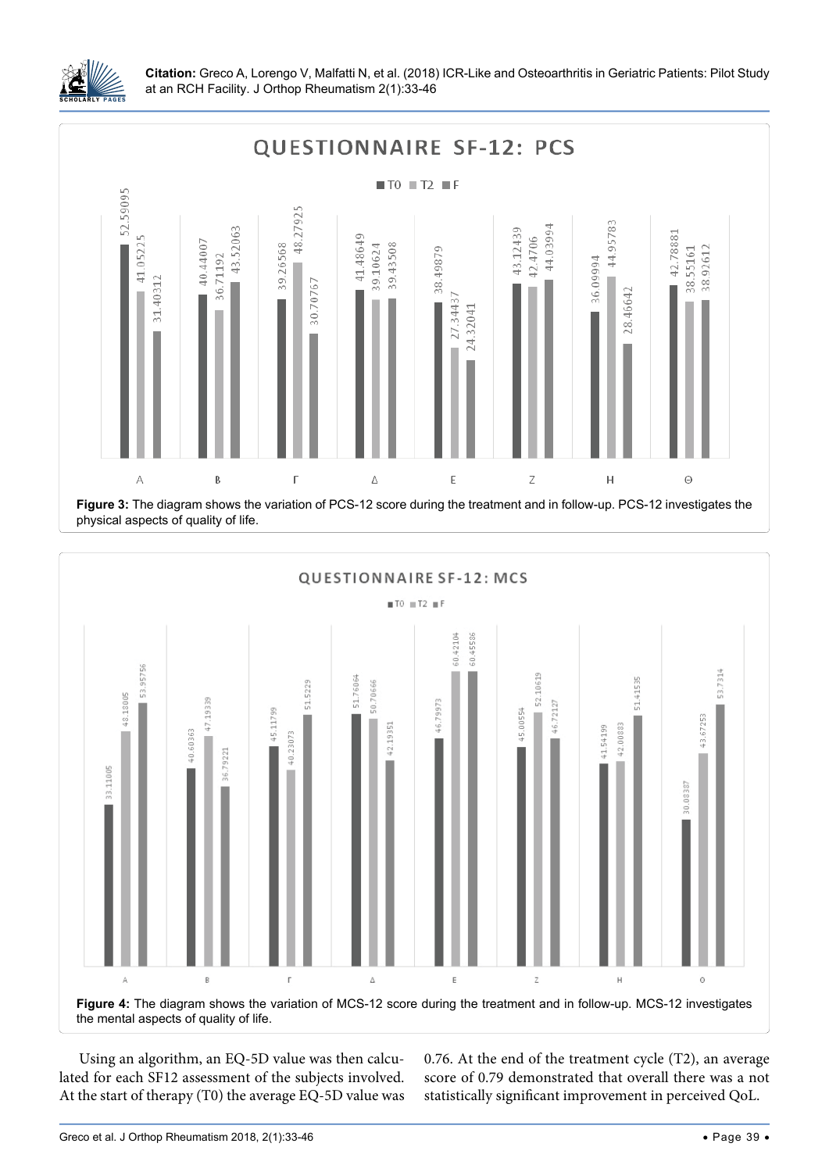

<span id="page-6-0"></span>

<span id="page-6-1"></span>

Using an algorithm, an EQ-5D value was then calculated for each SF12 assessment of the subjects involved. At the start of therapy (T0) the average EQ-5D value was 0.76. At the end of the treatment cycle (T2), an average score of 0.79 demonstrated that overall there was a not statistically significant improvement in perceived QoL.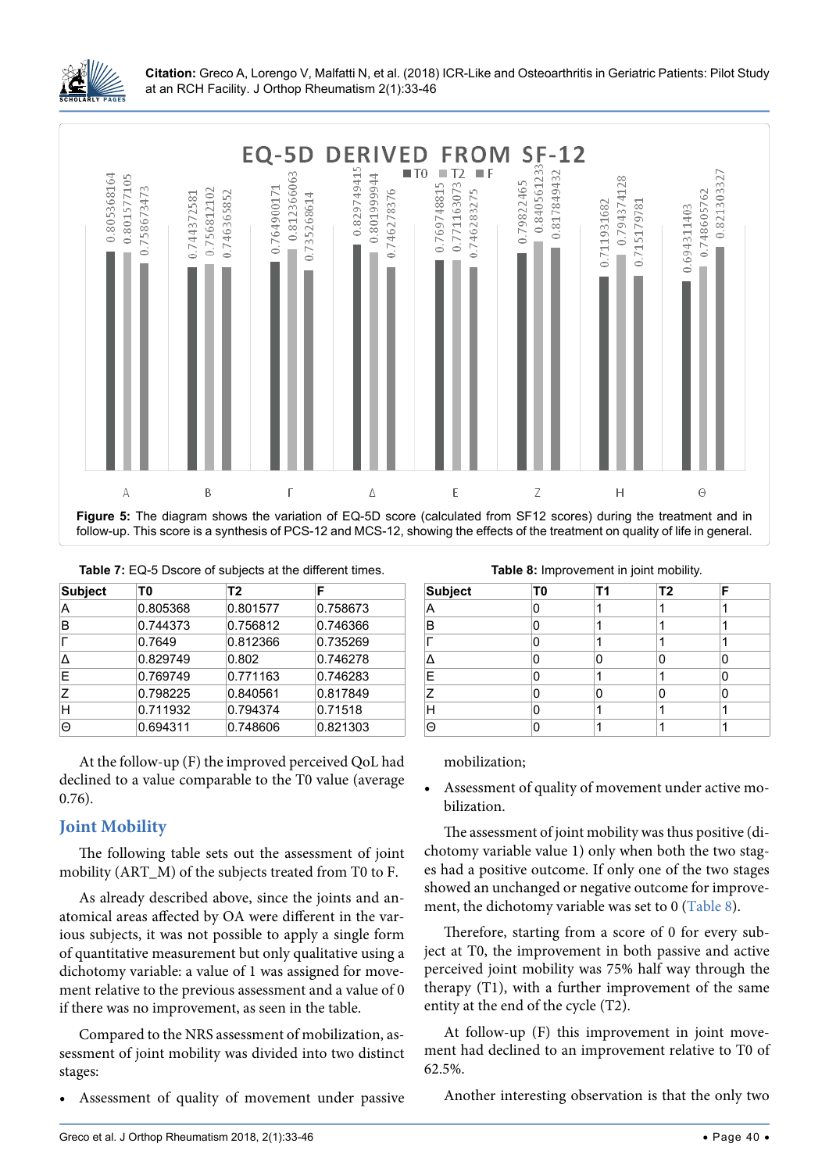

<span id="page-7-1"></span>

<span id="page-7-0"></span>

| <b>Subject</b> | T0       | T2       | F        |
|----------------|----------|----------|----------|
| А              | 0.805368 | 0.801577 | 0.758673 |
| B              | 0.744373 | 0.756812 | 0.746366 |
|                | 0.7649   | 0.812366 | 0.735269 |
| Λ              | 0.829749 | 0.802    | 0.746278 |
| E              | 0.769749 | 0.771163 | 0.746283 |
| 7              | 0.798225 | 0.840561 | 0.817849 |
| H              | 0.711932 | 0.794374 | 0.71518  |
| Θ              | 0.694311 | 0.748606 | 0.821303 |

At the follow-up (F) the improved perceived QoL had declined to a value comparable to the T0 value (average 0.76).

## **Joint Mobility**

The following table sets out the assessment of joint mobility (ART\_M) of the subjects treated from T0 to F.

As already described above, since the joints and anatomical areas affected by OA were different in the various subjects, it was not possible to apply a single form of quantitative measurement but only qualitative using a dichotomy variable: a value of 1 was assigned for movement relative to the previous assessment and a value of 0 if there was no improvement, as seen in the table.

Compared to the NRS assessment of mobilization, assessment of joint mobility was divided into two distinct stages:

Assessment of quality of movement under passive

<span id="page-7-2"></span>**Table 8:** Improvement in joint mobility.

| <b>Subject</b> | T0 | Т1 | Τ2 | F |
|----------------|----|----|----|---|
| Α              | r  |    |    |   |
| B              | C  |    |    |   |
|                | O  | ٠  |    |   |
|                | C  | Π  |    | O |
| Ε              | r  |    |    | n |
| Ζ              |    |    |    | n |
| Н              |    |    |    |   |
| $\Theta$       |    |    |    |   |

mobilization;

Assessment of quality of movement under active mobilization.

The assessment of joint mobility was thus positive (dichotomy variable value 1) only when both the two stages had a positive outcome. If only one of the two stages showed an unchanged or negative outcome for improvement, the dichotomy variable was set to 0 [\(Table 8\)](#page-7-2).

Therefore, starting from a score of 0 for every subject at T0, the improvement in both passive and active perceived joint mobility was 75% half way through the therapy (T1), with a further improvement of the same entity at the end of the cycle (T2).

At follow-up (F) this improvement in joint movement had declined to an improvement relative to T0 of 62.5%.

Another interesting observation is that the only two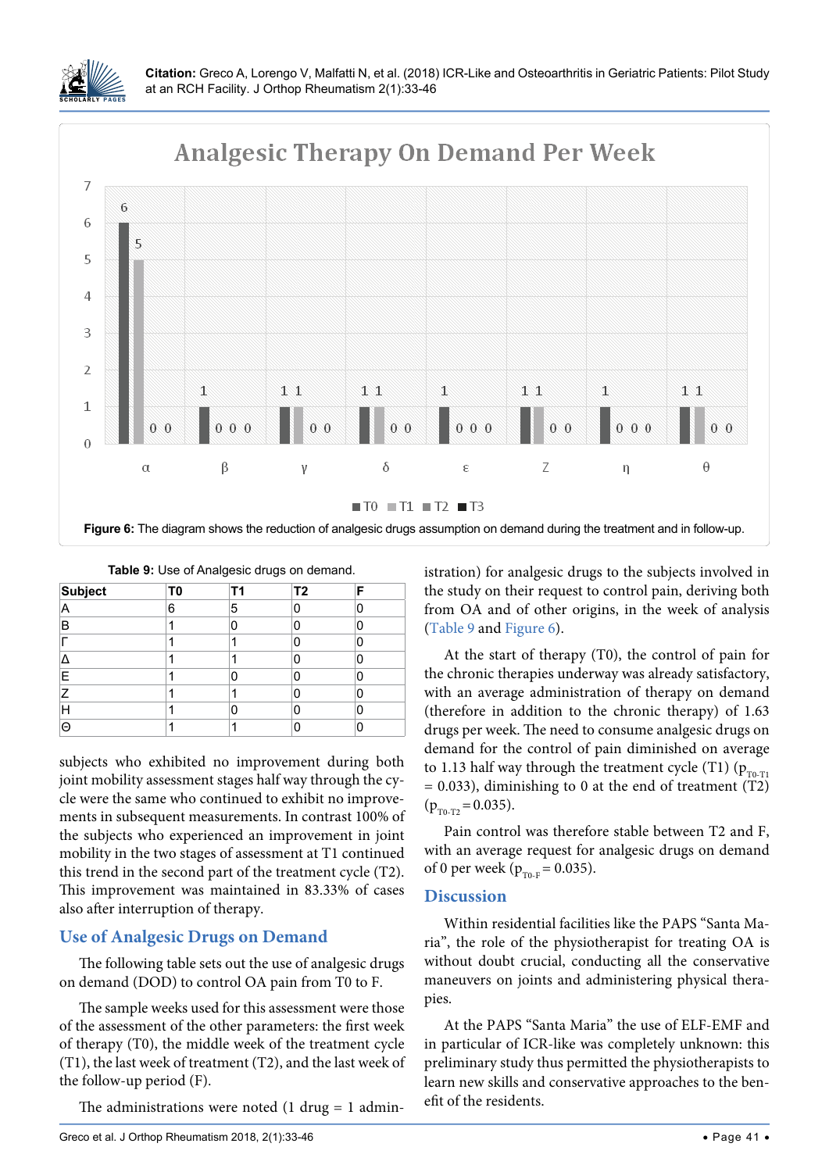

<span id="page-8-1"></span>

<span id="page-8-0"></span>

|  | <b>Table 9:</b> Use of Analgesic drugs on demand. |  |
|--|---------------------------------------------------|--|
|  |                                                   |  |

| <b>Subject</b> | T <sub>0</sub> | Τ1 | T <sub>2</sub> |   |
|----------------|----------------|----|----------------|---|
| A              | 6              | 5  |                | U |
| B              |                |    |                |   |
|                |                |    | Π              |   |
|                |                |    |                |   |
| E              |                |    |                |   |
| 7              |                |    |                |   |
| Н              |                |    |                |   |
| Θ              |                |    |                |   |

subjects who exhibited no improvement during both joint mobility assessment stages half way through the cycle were the same who continued to exhibit no improvements in subsequent measurements. In contrast 100% of the subjects who experienced an improvement in joint mobility in the two stages of assessment at T1 continued this trend in the second part of the treatment cycle (T2). This improvement was maintained in 83.33% of cases also after interruption of therapy.

## **Use of Analgesic Drugs on Demand**

The following table sets out the use of analgesic drugs on demand (DOD) to control OA pain from T0 to F.

The sample weeks used for this assessment were those of the assessment of the other parameters: the first week of therapy (T0), the middle week of the treatment cycle (T1), the last week of treatment (T2), and the last week of the follow-up period (F).

The administrations were noted  $(1 \, \text{drug} = 1 \, \text{admin} - \frac{1}{2})$ 

istration) for analgesic drugs to the subjects involved in the study on their request to control pain, deriving both from OA and of other origins, in the week of analysis ([Table 9](#page-8-0) and [Figure 6\)](#page-8-1).

At the start of therapy (T0), the control of pain for the chronic therapies underway was already satisfactory, with an average administration of therapy on demand (therefore in addition to the chronic therapy) of 1.63 drugs per week. The need to consume analgesic drugs on demand for the control of pain diminished on average to 1.13 half way through the treatment cycle (T1) ( $p_{T0-T1}$ )  $= 0.033$ ), diminishing to 0 at the end of treatment (T2)  $(p_{\text{TO-T2}} = 0.035)$ .

Pain control was therefore stable between T2 and F, with an average request for analgesic drugs on demand of 0 per week ( $p_{T0-F} = 0.035$ ).

## **Discussion**

Within residential facilities like the PAPS "Santa Maria", the role of the physiotherapist for treating OA is without doubt crucial, conducting all the conservative maneuvers on joints and administering physical therapies.

At the PAPS "Santa Maria" the use of ELF-EMF and in particular of ICR-like was completely unknown: this preliminary study thus permitted the physiotherapists to learn new skills and conservative approaches to the benefit of the residents.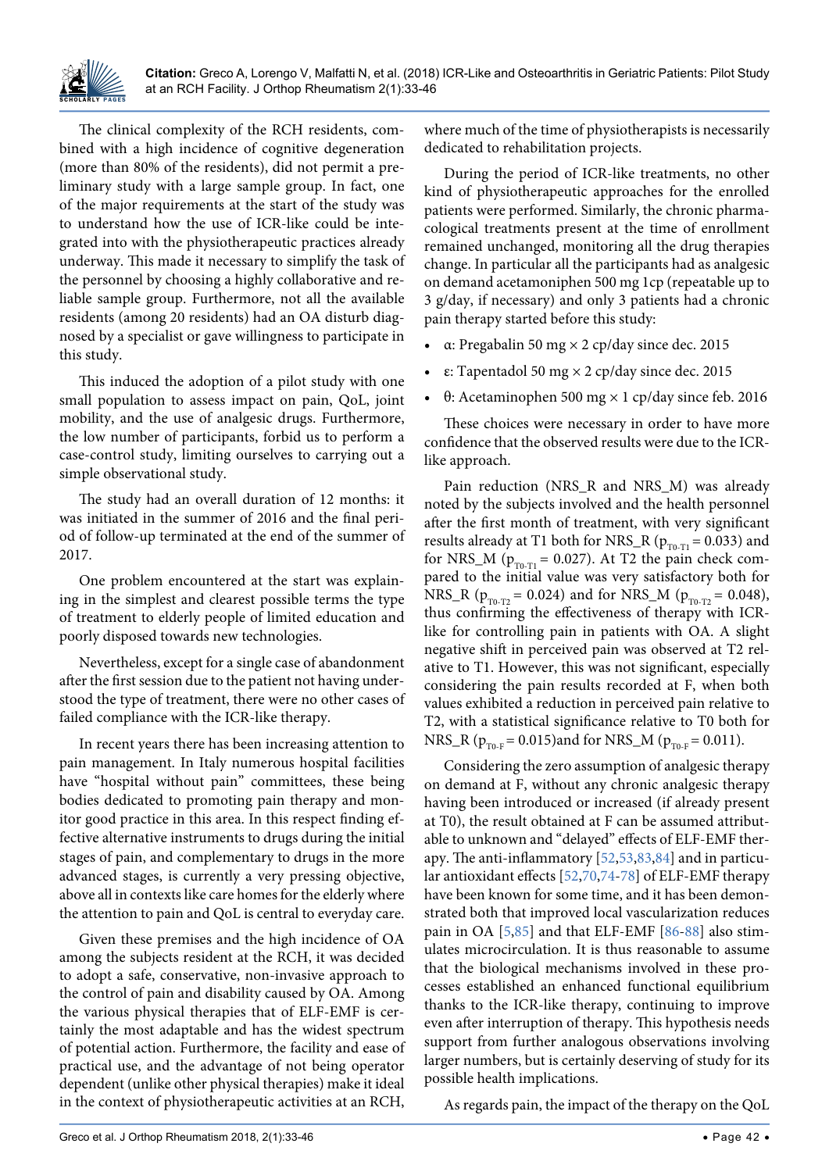The clinical complexity of the RCH residents, combined with a high incidence of cognitive degeneration (more than 80% of the residents), did not permit a preliminary study with a large sample group. In fact, one of the major requirements at the start of the study was to understand how the use of ICR-like could be integrated into with the physiotherapeutic practices already underway. This made it necessary to simplify the task of the personnel by choosing a highly collaborative and reliable sample group. Furthermore, not all the available residents (among 20 residents) had an OA disturb diagnosed by a specialist or gave willingness to participate in this study.

This induced the adoption of a pilot study with one small population to assess impact on pain, QoL, joint mobility, and the use of analgesic drugs. Furthermore, the low number of participants, forbid us to perform a case-control study, limiting ourselves to carrying out a simple observational study.

The study had an overall duration of 12 months: it was initiated in the summer of 2016 and the final period of follow-up terminated at the end of the summer of 2017.

One problem encountered at the start was explaining in the simplest and clearest possible terms the type of treatment to elderly people of limited education and poorly disposed towards new technologies.

Nevertheless, except for a single case of abandonment after the first session due to the patient not having understood the type of treatment, there were no other cases of failed compliance with the ICR-like therapy.

In recent years there has been increasing attention to pain management. In Italy numerous hospital facilities have "hospital without pain" committees, these being bodies dedicated to promoting pain therapy and monitor good practice in this area. In this respect finding effective alternative instruments to drugs during the initial stages of pain, and complementary to drugs in the more advanced stages, is currently a very pressing objective, above all in contexts like care homes for the elderly where the attention to pain and QoL is central to everyday care.

Given these premises and the high incidence of OA among the subjects resident at the RCH, it was decided to adopt a safe, conservative, non-invasive approach to the control of pain and disability caused by OA. Among the various physical therapies that of ELF-EMF is certainly the most adaptable and has the widest spectrum of potential action. Furthermore, the facility and ease of practical use, and the advantage of not being operator dependent (unlike other physical therapies) make it ideal in the context of physiotherapeutic activities at an RCH,

where much of the time of physiotherapists is necessarily dedicated to rehabilitation projects.

During the period of ICR-like treatments, no other kind of physiotherapeutic approaches for the enrolled patients were performed. Similarly, the chronic pharmacological treatments present at the time of enrollment remained unchanged, monitoring all the drug therapies change. In particular all the participants had as analgesic on demand acetamoniphen 500 mg 1cp (repeatable up to 3 g/day, if necessary) and only 3 patients had a chronic pain therapy started before this study:

- **•**  α: Pregabalin 50 mg × 2 cp/day since dec. 2015
- **•**  ε: Tapentadol 50 mg × 2 cp/day since dec. 2015
- **•**  θ: Acetaminophen 500 mg × 1 cp/day since feb. 2016

These choices were necessary in order to have more confidence that the observed results were due to the ICRlike approach.

Pain reduction (NRS\_R and NRS\_M) was already noted by the subjects involved and the health personnel after the first month of treatment, with very significant results already at T1 both for NRS\_R ( $p_{T0-T1} = 0.033$ ) and for NRS\_M ( $p_{T0,T1}$  = 0.027). At T2 the pain check compared to the initial value was very satisfactory both for NRS\_R ( $p_{T0-T2} = 0.024$ ) and for NRS\_M ( $p_{T0-T2} = 0.048$ ), thus confirming the effectiveness of therapy with ICRlike for controlling pain in patients with OA. A slight negative shift in perceived pain was observed at T2 relative to T1. However, this was not significant, especially considering the pain results recorded at F, when both values exhibited a reduction in perceived pain relative to T2, with a statistical significance relative to T0 both for NRS\_R ( $p_{T0-F} = 0.015$ )and for NRS\_M ( $p_{T0-F} = 0.011$ ).

Considering the zero assumption of analgesic therapy on demand at F, without any chronic analgesic therapy having been introduced or increased (if already present at T0), the result obtained at F can be assumed attributable to unknown and "delayed" effects of ELF-EMF therapy. The anti-inflammatory [\[52](#page-12-14),[53](#page-12-15),[83](#page-13-9),[84](#page-13-10)] and in particular antioxidant effects [\[52,](#page-12-14)[70](#page-13-11)[,74-](#page-13-3)[78](#page-13-4)] of ELF-EMF therapy have been known for some time, and it has been demonstrated both that improved local vascularization reduces pain in OA [[5](#page-11-4),[85](#page-13-12)] and that ELF-EMF [\[86-](#page-13-13)[88](#page-13-14)] also stimulates microcirculation. It is thus reasonable to assume that the biological mechanisms involved in these processes established an enhanced functional equilibrium thanks to the ICR-like therapy, continuing to improve even after interruption of therapy. This hypothesis needs support from further analogous observations involving larger numbers, but is certainly deserving of study for its possible health implications.

As regards pain, the impact of the therapy on the QoL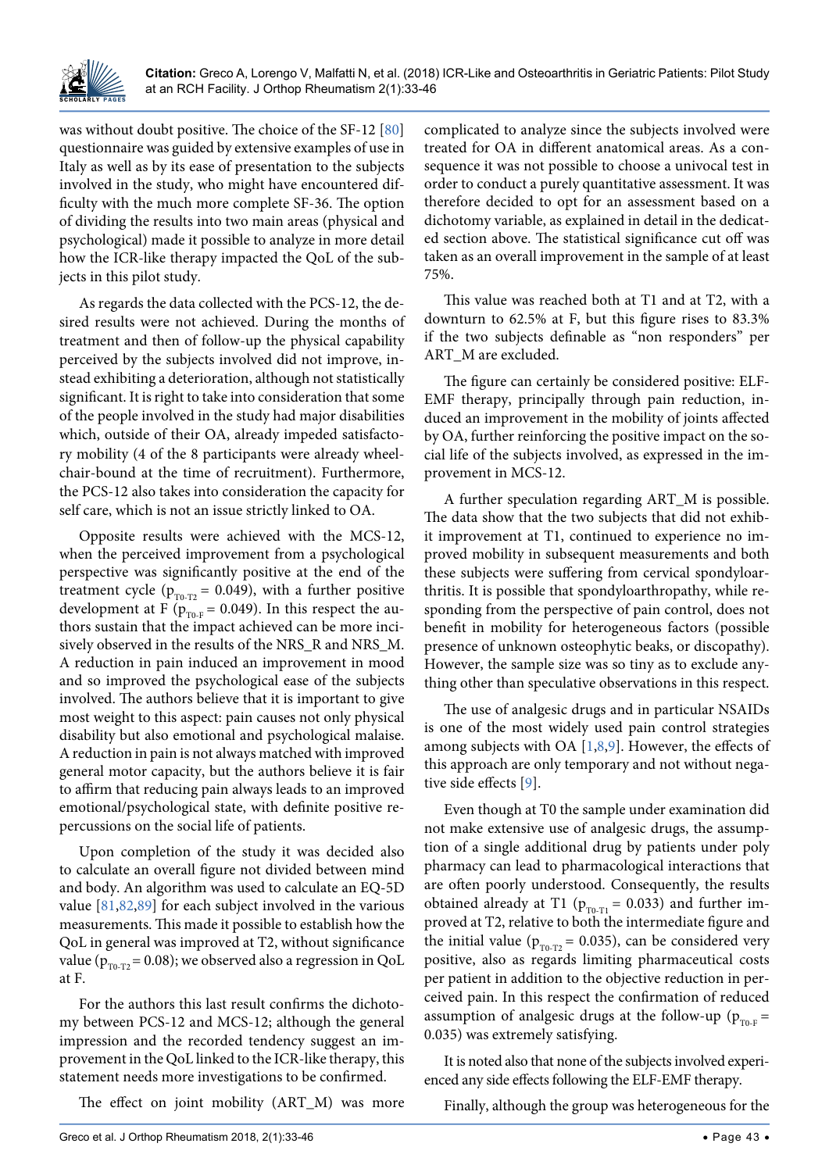

was without doubt positive. The choice of the SF-12 [\[80\]](#page-13-6) questionnaire was guided by extensive examples of use in Italy as well as by its ease of presentation to the subjects involved in the study, who might have encountered difficulty with the much more complete SF-36. The option of dividing the results into two main areas (physical and psychological) made it possible to analyze in more detail how the ICR-like therapy impacted the QoL of the subjects in this pilot study.

As regards the data collected with the PCS-12, the desired results were not achieved. During the months of treatment and then of follow-up the physical capability perceived by the subjects involved did not improve, instead exhibiting a deterioration, although not statistically significant. It is right to take into consideration that some of the people involved in the study had major disabilities which, outside of their OA, already impeded satisfactory mobility (4 of the 8 participants were already wheelchair-bound at the time of recruitment). Furthermore, the PCS-12 also takes into consideration the capacity for self care, which is not an issue strictly linked to OA.

Opposite results were achieved with the MCS-12, when the perceived improvement from a psychological perspective was significantly positive at the end of the treatment cycle ( $p_{T0-T2}$  = 0.049), with a further positive development at F ( $p_{\text{TO-F}}$  = 0.049). In this respect the authors sustain that the impact achieved can be more incisively observed in the results of the NRS\_R and NRS\_M. A reduction in pain induced an improvement in mood and so improved the psychological ease of the subjects involved. The authors believe that it is important to give most weight to this aspect: pain causes not only physical disability but also emotional and psychological malaise. A reduction in pain is not always matched with improved general motor capacity, but the authors believe it is fair to affirm that reducing pain always leads to an improved emotional/psychological state, with definite positive repercussions on the social life of patients.

Upon completion of the study it was decided also to calculate an overall figure not divided between mind and body. An algorithm was used to calculate an EQ-5D value [\[81,](#page-13-7)[82](#page-13-8),[89](#page-13-15)] for each subject involved in the various measurements. This made it possible to establish how the QoL in general was improved at T2, without significance value ( $p_{T0-T2}$  = 0.08); we observed also a regression in QoL at F.

For the authors this last result confirms the dichotomy between PCS-12 and MCS-12; although the general impression and the recorded tendency suggest an improvement in the QoL linked to the ICR-like therapy, this statement needs more investigations to be confirmed.

The effect on joint mobility (ART\_M) was more

complicated to analyze since the subjects involved were treated for OA in different anatomical areas. As a consequence it was not possible to choose a univocal test in order to conduct a purely quantitative assessment. It was therefore decided to opt for an assessment based on a dichotomy variable, as explained in detail in the dedicated section above. The statistical significance cut off was taken as an overall improvement in the sample of at least 75%.

This value was reached both at T1 and at T2, with a downturn to 62.5% at F, but this figure rises to 83.3% if the two subjects definable as "non responders" per ART\_M are excluded.

The figure can certainly be considered positive: ELF-EMF therapy, principally through pain reduction, induced an improvement in the mobility of joints affected by OA, further reinforcing the positive impact on the social life of the subjects involved, as expressed in the improvement in MCS-12.

A further speculation regarding ART\_M is possible. The data show that the two subjects that did not exhibit improvement at T1, continued to experience no improved mobility in subsequent measurements and both these subjects were suffering from cervical spondyloarthritis. It is possible that spondyloarthropathy, while responding from the perspective of pain control, does not benefit in mobility for heterogeneous factors (possible presence of unknown osteophytic beaks, or discopathy). However, the sample size was so tiny as to exclude anything other than speculative observations in this respect.

The use of analgesic drugs and in particular NSAIDs is one of the most widely used pain control strategies among subjects with OA [\[1](#page-11-0),[8](#page-11-7),[9](#page-11-8)]. However, the effects of this approach are only temporary and not without negative side effects [\[9](#page-11-8)].

Even though at T0 the sample under examination did not make extensive use of analgesic drugs, the assumption of a single additional drug by patients under poly pharmacy can lead to pharmacological interactions that are often poorly understood. Consequently, the results obtained already at T1 ( $p_{T0-T1} = 0.033$ ) and further improved at T2, relative to both the intermediate figure and the initial value ( $p_{T0-T2}$  = 0.035), can be considered very positive, also as regards limiting pharmaceutical costs per patient in addition to the objective reduction in perceived pain. In this respect the confirmation of reduced assumption of analgesic drugs at the follow-up ( $p_{T0,F}$  = 0.035) was extremely satisfying.

It is noted also that none of the subjects involved experienced any side effects following the ELF-EMF therapy.

Finally, although the group was heterogeneous for the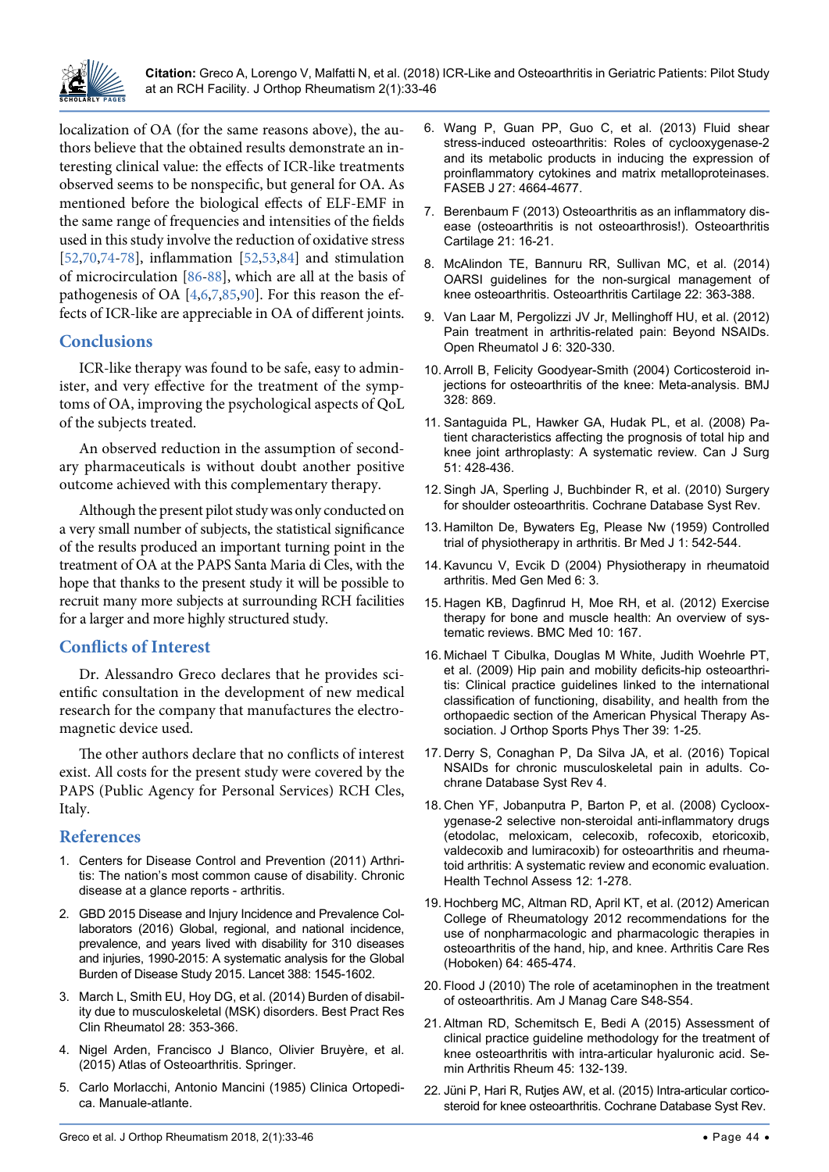

localization of OA (for the same reasons above), the authors believe that the obtained results demonstrate an interesting clinical value: the effects of ICR-like treatments observed seems to be nonspecific, but general for OA. As mentioned before the biological effects of ELF-EMF in the same range of frequencies and intensities of the fields used in this study involve the reduction of oxidative stress [\[52,](#page-12-14)[70,](#page-13-11)[74-](#page-13-3)[78\]](#page-13-4), inflammation [\[52,](#page-12-14)[53,](#page-12-15)[84](#page-13-10)] and stimulation of microcirculation [[86](#page-13-13)[-88](#page-13-14)], which are all at the basis of pathogenesis of OA [\[4,](#page-11-3)[6](#page-11-5),[7](#page-11-6),[85](#page-13-12)[,90\]](#page-13-16). For this reason the effects of ICR-like are appreciable in OA of different joints.

#### **Conclusions**

ICR-like therapy was found to be safe, easy to administer, and very effective for the treatment of the symptoms of OA, improving the psychological aspects of QoL of the subjects treated.

An observed reduction in the assumption of secondary pharmaceuticals is without doubt another positive outcome achieved with this complementary therapy.

Although the present pilot study was only conducted on a very small number of subjects, the statistical significance of the results produced an important turning point in the treatment of OA at the PAPS Santa Maria di Cles, with the hope that thanks to the present study it will be possible to recruit many more subjects at surrounding RCH facilities for a larger and more highly structured study.

## **Conflicts of Interest**

Dr. Alessandro Greco declares that he provides scientific consultation in the development of new medical research for the company that manufactures the electromagnetic device used.

The other authors declare that no conflicts of interest exist. All costs for the present study were covered by the PAPS (Public Agency for Personal Services) RCH Cles, Italy.

#### **References**

- <span id="page-11-0"></span>1. [Centers for Disease Control and Prevention \(2011\) Arthri](https://www.cdc.gov/chronicdisease/resources/publications/aag/arthritis.htm#chart1)[tis: The nation's most common cause of disability. Chronic](https://www.cdc.gov/chronicdisease/resources/publications/aag/arthritis.htm#chart1)  [disease at a glance reports - arthritis.](https://www.cdc.gov/chronicdisease/resources/publications/aag/arthritis.htm#chart1)
- <span id="page-11-1"></span>2. [GBD 2015 Disease and Injury Incidence and Prevalence Col](https://www.ncbi.nlm.nih.gov/pubmed/27733282)[laborators \(2016\) Global, regional, and national incidence,](https://www.ncbi.nlm.nih.gov/pubmed/27733282)  [prevalence, and years lived with disability for 310 diseases](https://www.ncbi.nlm.nih.gov/pubmed/27733282)  [and injuries, 1990-2015: A systematic analysis for the Global](https://www.ncbi.nlm.nih.gov/pubmed/27733282)  [Burden of Disease Study 2015. Lancet 388: 1545-1602.](https://www.ncbi.nlm.nih.gov/pubmed/27733282)
- <span id="page-11-2"></span>3. [March L, Smith EU, Hoy DG, et al. \(2014\) Burden of disabil](https://www.ncbi.nlm.nih.gov/pubmed/25481420)[ity due to musculoskeletal \(MSK\) disorders. Best Pract Res](https://www.ncbi.nlm.nih.gov/pubmed/25481420)  [Clin Rheumatol 28: 353-366.](https://www.ncbi.nlm.nih.gov/pubmed/25481420)
- <span id="page-11-3"></span>4. [Nigel Arden, Francisco J Blanco, Olivier Bruyère, et al.](http://www.esceo.org/sites/esceo/files/pdf/Atlas of Osteoarthritis15032018.pdf)  [\(2015\) Atlas of Osteoarthritis. Springer.](http://www.esceo.org/sites/esceo/files/pdf/Atlas of Osteoarthritis15032018.pdf)
- <span id="page-11-4"></span>5. Carlo Morlacchi, Antonio Mancini (1985) Clinica Ortopedica. Manuale-atlante.
- <span id="page-11-5"></span>6. [Wang P, Guan PP, Guo C, et al. \(2013\) Fluid shear](https://www.ncbi.nlm.nih.gov/pubmed/23964078)  [stress-induced osteoarthritis: Roles of cyclooxygenase-2](https://www.ncbi.nlm.nih.gov/pubmed/23964078)  [and its metabolic products in inducing the expression of](https://www.ncbi.nlm.nih.gov/pubmed/23964078)  [proinflammatory cytokines and matrix metalloproteinases.](https://www.ncbi.nlm.nih.gov/pubmed/23964078)  [FASEB J 27: 4664-4677.](https://www.ncbi.nlm.nih.gov/pubmed/23964078)
- <span id="page-11-6"></span>7. [Berenbaum F \(2013\) Osteoarthritis as an inflammatory dis](https://www.ncbi.nlm.nih.gov/pubmed/23194896)[ease \(osteoarthritis is not osteoarthrosis!\). Osteoarthritis](https://www.ncbi.nlm.nih.gov/pubmed/23194896)  [Cartilage 21: 16-21.](https://www.ncbi.nlm.nih.gov/pubmed/23194896)
- <span id="page-11-7"></span>8. [McAlindon TE, Bannuru RR, Sullivan MC, et al. \(2014\)](https://www.ncbi.nlm.nih.gov/pubmed/24462672)  [OARSI guidelines for the non-surgical management of](https://www.ncbi.nlm.nih.gov/pubmed/24462672)  [knee osteoarthritis. Osteoarthritis Cartilage 22: 363-388.](https://www.ncbi.nlm.nih.gov/pubmed/24462672)
- <span id="page-11-8"></span>9. [Van Laar M, Pergolizzi JV Jr, Mellinghoff HU, et al. \(2012\)](https://www.ncbi.nlm.nih.gov/pubmed/23264838)  [Pain treatment in arthritis-related pain: Beyond NSAIDs.](https://www.ncbi.nlm.nih.gov/pubmed/23264838)  [Open Rheumatol J 6: 320-330.](https://www.ncbi.nlm.nih.gov/pubmed/23264838)
- <span id="page-11-9"></span>10. [Arroll B, Felicity Goodyear-Smith \(2004\) Corticosteroid in](https://www.bmj.com/content/328/7444/869)[jections for osteoarthritis of the knee: Meta-analysis. BMJ](https://www.bmj.com/content/328/7444/869)  [328: 869.](https://www.bmj.com/content/328/7444/869)
- <span id="page-11-10"></span>11. [Santaguida PL, Hawker GA, Hudak PL, et al. \(2008\) Pa](https://www.ncbi.nlm.nih.gov/pubmed/19057730)[tient characteristics affecting the prognosis of total hip and](https://www.ncbi.nlm.nih.gov/pubmed/19057730)  [knee joint arthroplasty: A systematic review. Can J Surg](https://www.ncbi.nlm.nih.gov/pubmed/19057730)  [51: 428-436.](https://www.ncbi.nlm.nih.gov/pubmed/19057730)
- <span id="page-11-11"></span>12. [Singh JA, Sperling J, Buchbinder R, et al. \(2010\) Surgery](https://www.ncbi.nlm.nih.gov/pubmed/20927773)  [for shoulder osteoarthritis. Cochrane Database Syst Rev.](https://www.ncbi.nlm.nih.gov/pubmed/20927773)
- <span id="page-11-12"></span>13. [Hamilton De, Bywaters Eg, Please Nw \(1959\) Controlled](https://www.ncbi.nlm.nih.gov/pubmed/13629042)  [trial of physiotherapy in arthritis. Br Med J 1: 542-544.](https://www.ncbi.nlm.nih.gov/pubmed/13629042)
- <span id="page-11-13"></span>14. [Kavuncu V, Evcik D \(2004\) Physiotherapy in rheumatoid](https://www.ncbi.nlm.nih.gov/pubmed/15266230)  [arthritis. Med Gen Med 6: 3.](https://www.ncbi.nlm.nih.gov/pubmed/15266230)
- <span id="page-11-14"></span>15. [Hagen KB, Dagfinrud H, Moe RH,](https://www.ncbi.nlm.nih.gov/pubmed/23253613) et al. (2012) Exercise [therapy for bone and muscle health: An overview of sys](https://www.ncbi.nlm.nih.gov/pubmed/23253613)[tematic reviews. BMC Med 10: 167.](https://www.ncbi.nlm.nih.gov/pubmed/23253613)
- <span id="page-11-15"></span>16. [Michael T Cibulka, Douglas M White, Judith Woehrle PT,](https://www.jospt.org/doi/abs/10.2519/jospt.2009.0301)  [et al. \(2009\) Hip pain and mobility deficits-hip osteoarthri](https://www.jospt.org/doi/abs/10.2519/jospt.2009.0301)[tis: Clinical practice guidelines linked to the international](https://www.jospt.org/doi/abs/10.2519/jospt.2009.0301)  [classification of functioning, disability, and health from the](https://www.jospt.org/doi/abs/10.2519/jospt.2009.0301)  [orthopaedic section of the American Physical Therapy As](https://www.jospt.org/doi/abs/10.2519/jospt.2009.0301)[sociation. J Orthop Sports Phys Ther 39: 1-25.](https://www.jospt.org/doi/abs/10.2519/jospt.2009.0301)
- <span id="page-11-16"></span>17. Derry S, Conaghan P, [Da Silva JA, et al. \(2016\) Topical](https://www.ncbi.nlm.nih.gov/pubmed/27103611)  [NSAIDs for chronic musculoskeletal pain in adults. Co](https://www.ncbi.nlm.nih.gov/pubmed/27103611)[chrane Database Syst Rev 4.](https://www.ncbi.nlm.nih.gov/pubmed/27103611)
- <span id="page-11-17"></span>18. [Chen YF, Jobanputra P, Barton P, et al. \(2008\) Cycloox](https://www.ncbi.nlm.nih.gov/pubmed/18405470)[ygenase-2 selective non-steroidal anti-inflammatory drugs](https://www.ncbi.nlm.nih.gov/pubmed/18405470)  [\(etodolac, meloxicam, celecoxib, rofecoxib, etoricoxib,](https://www.ncbi.nlm.nih.gov/pubmed/18405470)  [valdecoxib and lumiracoxib\) for osteoarthritis and rheuma](https://www.ncbi.nlm.nih.gov/pubmed/18405470)[toid arthritis: A systematic review and economic evaluation.](https://www.ncbi.nlm.nih.gov/pubmed/18405470)  [Health Technol Assess 12: 1-278.](https://www.ncbi.nlm.nih.gov/pubmed/18405470)
- <span id="page-11-18"></span>19. Hochberg MC, Altman RD, [April KT, et al. \(2012\) American](https://www.ncbi.nlm.nih.gov/pubmed/22563589)  [College of Rheumatology 2012 recommendations for the](https://www.ncbi.nlm.nih.gov/pubmed/22563589)  [use of nonpharmacologic and pharmacologic therapies in](https://www.ncbi.nlm.nih.gov/pubmed/22563589)  [osteoarthritis of the hand, hip, and knee. Arthritis Care Res](https://www.ncbi.nlm.nih.gov/pubmed/22563589)  [\(Hoboken\) 64: 465-474.](https://www.ncbi.nlm.nih.gov/pubmed/22563589)
- <span id="page-11-19"></span>20. [Flood J \(2010\) The role of acetaminophen in the treatment](https://www.ncbi.nlm.nih.gov/pubmed/20297877)  [of osteoarthritis. Am J Manag Care S48-S54.](https://www.ncbi.nlm.nih.gov/pubmed/20297877)
- <span id="page-11-20"></span>21. [Altman RD, Schemitsch E, Bedi A \(2015\) Assessment of](https://www.ncbi.nlm.nih.gov/pubmed/26142320)  [clinical practice guideline methodology for the treatment of](https://www.ncbi.nlm.nih.gov/pubmed/26142320)  [knee osteoarthritis with intra-articular hyaluronic acid. Se](https://www.ncbi.nlm.nih.gov/pubmed/26142320)[min Arthritis Rheum 45: 132-139.](https://www.ncbi.nlm.nih.gov/pubmed/26142320)
- <span id="page-11-21"></span>22. [Jüni P, Hari R, Rutjes AW, et al. \(2015\) Intra-articular cortico](https://www.ncbi.nlm.nih.gov/pubmed/26490760)[steroid for knee osteoarthritis. Cochrane Database Syst Rev.](https://www.ncbi.nlm.nih.gov/pubmed/26490760)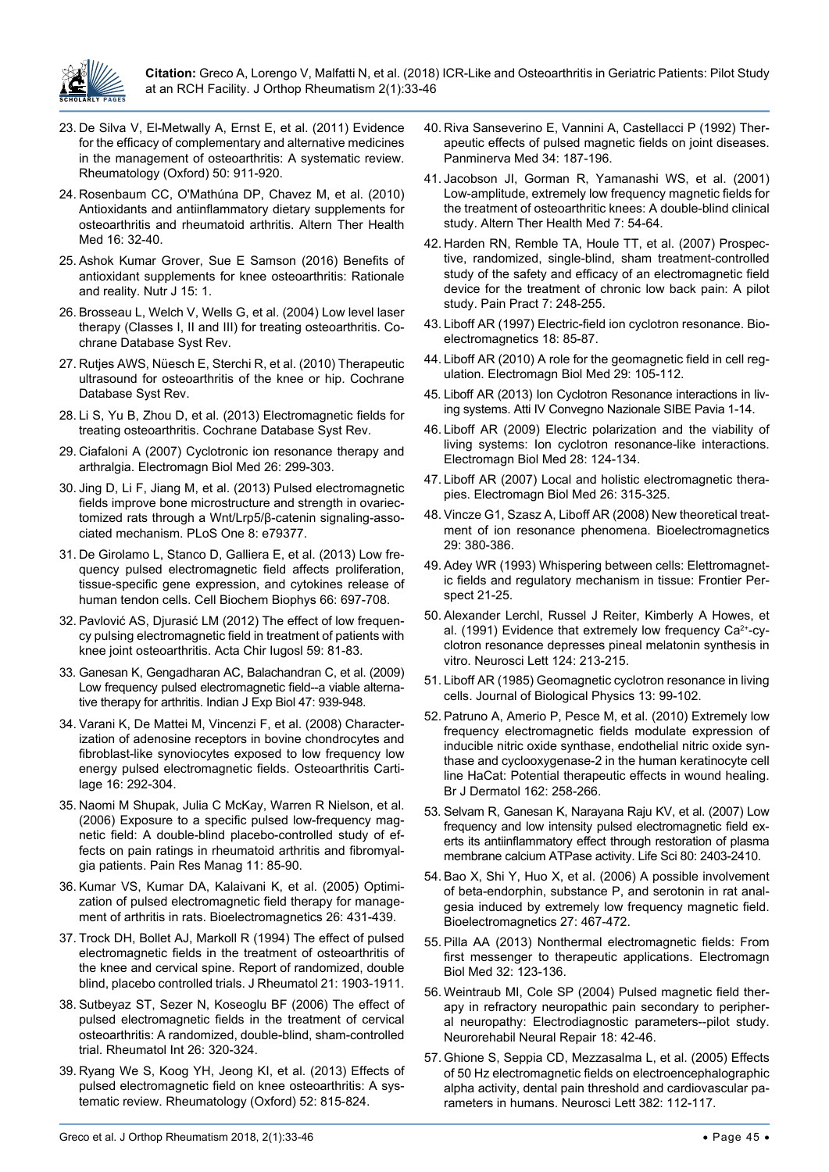

- <span id="page-12-0"></span>23. [De Silva V, El-Metwally A, Ernst E, et al. \(2011\) Evidence](https://www.ncbi.nlm.nih.gov/pubmed/21169345)  [for the efficacy of complementary and alternative medicines](https://www.ncbi.nlm.nih.gov/pubmed/21169345)  [in the management of osteoarthritis: A systematic review.](https://www.ncbi.nlm.nih.gov/pubmed/21169345)  [Rheumatology \(Oxford\) 50: 911-920.](https://www.ncbi.nlm.nih.gov/pubmed/21169345)
- 24. [Rosenbaum CC, O'Mathúna DP, Chavez M, et al. \(2010\)](https://www.ncbi.nlm.nih.gov/pubmed/20232616)  [Antioxidants and antiinflammatory dietary supplements for](https://www.ncbi.nlm.nih.gov/pubmed/20232616)  [osteoarthritis and rheumatoid arthritis. Altern Ther Health](https://www.ncbi.nlm.nih.gov/pubmed/20232616)  [Med 16: 32-40.](https://www.ncbi.nlm.nih.gov/pubmed/20232616)
- <span id="page-12-1"></span>25. [Ashok Kumar Grover, Sue E Samson \(2016\) Benefits of](https://nutritionj.biomedcentral.com/articles/10.1186/s12937-015-0115-z)  [antioxidant supplements for knee osteoarthritis: Rationale](https://nutritionj.biomedcentral.com/articles/10.1186/s12937-015-0115-z)  [and reality. Nutr J 15: 1.](https://nutritionj.biomedcentral.com/articles/10.1186/s12937-015-0115-z)
- <span id="page-12-2"></span>26. [Brosseau L, Welch V, Wells G, et al. \(2004\) Low level laser](https://www.ncbi.nlm.nih.gov/pubmed/15266461)  [therapy \(Classes I, II and III\) for treating osteoarthritis. Co](https://www.ncbi.nlm.nih.gov/pubmed/15266461)[chrane Database Syst Rev.](https://www.ncbi.nlm.nih.gov/pubmed/15266461)
- 27. [Rutjes AWS, Nüesch E, Sterchi R, et al. \(2010\) Therapeutic](http://cochranelibrary-wiley.com/doi/10.1002/14651858.CD003132.pub2/pdf)  [ultrasound for osteoarthritis of the knee or hip. Cochrane](http://cochranelibrary-wiley.com/doi/10.1002/14651858.CD003132.pub2/pdf)  [Database Syst Rev.](http://cochranelibrary-wiley.com/doi/10.1002/14651858.CD003132.pub2/pdf)
- <span id="page-12-3"></span>28. [Li S, Yu B, Zhou D, et al. \(2013\) Electromagnetic fields for](https://www.ncbi.nlm.nih.gov/pubmed/24338431)  [treating osteoarthritis. Cochrane Database Syst Rev.](https://www.ncbi.nlm.nih.gov/pubmed/24338431)
- <span id="page-12-10"></span>29. [Ciafaloni A \(2007\) Cyclotronic ion resonance therapy and](https://www.ncbi.nlm.nih.gov/pubmed/18097817)  [arthralgia. Electromagn Biol Med 26: 299-303.](https://www.ncbi.nlm.nih.gov/pubmed/18097817)
- 30. [Jing D, Li F, Jiang M, et al. \(2013\) Pulsed electromagnetic](https://www.ncbi.nlm.nih.gov/pubmed/24244491)  [fields improve bone microstructure and strength in ovariec](https://www.ncbi.nlm.nih.gov/pubmed/24244491)[tomized rats through a Wnt/Lrp5/β-catenin signaling-asso](https://www.ncbi.nlm.nih.gov/pubmed/24244491)[ciated mechanism. PLoS One 8: e79377.](https://www.ncbi.nlm.nih.gov/pubmed/24244491)
- 31. [De Girolamo L, Stanco D, Galliera E, et al. \(2013\) Low fre](https://europepmc.org/abstract/med/23345006)[quency pulsed electromagnetic field affects proliferation,](https://europepmc.org/abstract/med/23345006)  [tissue-specific gene expression, and cytokines release of](https://europepmc.org/abstract/med/23345006)  [human tendon cells. Cell Biochem Biophys 66: 697-708.](https://europepmc.org/abstract/med/23345006)
- <span id="page-12-11"></span>32. [Pavlović AS, Djurasić LM \(2012\) The effect of low frequen](https://www.ncbi.nlm.nih.gov/pubmed/23654012)[cy pulsing electromagnetic field in treatment of patients with](https://www.ncbi.nlm.nih.gov/pubmed/23654012)  [knee joint osteoarthritis. Acta Chir Iugosl 59: 81-83.](https://www.ncbi.nlm.nih.gov/pubmed/23654012)
- 33. [Ganesan K, Gengadharan AC, Balachandran C, et al. \(2009\)](https://www.ncbi.nlm.nih.gov/pubmed/20329696)  [Low frequency pulsed electromagnetic field--a viable alterna](https://www.ncbi.nlm.nih.gov/pubmed/20329696)[tive therapy for arthritis. Indian J Exp Biol 47: 939-948.](https://www.ncbi.nlm.nih.gov/pubmed/20329696)
- 34. [Varani K, De Mattei M, Vincenzi F, et al. \(2008\) Character](https://www.ncbi.nlm.nih.gov/pubmed/17698373)[ization of adenosine receptors in bovine chondrocytes and](https://www.ncbi.nlm.nih.gov/pubmed/17698373)  [fibroblast-like synoviocytes exposed to low frequency low](https://www.ncbi.nlm.nih.gov/pubmed/17698373)  [energy pulsed electromagnetic fields. Osteoarthritis Carti](https://www.ncbi.nlm.nih.gov/pubmed/17698373)[lage 16: 292-304.](https://www.ncbi.nlm.nih.gov/pubmed/17698373)
- <span id="page-12-13"></span>35. [Naomi M Shupak, Julia C McKay, Warren R Nielson, et al.](https://www.ncbi.nlm.nih.gov/pmc/articles/PMC2585480/)  [\(2006\) Exposure to a specific pulsed low-frequency mag](https://www.ncbi.nlm.nih.gov/pmc/articles/PMC2585480/)[netic field: A double-blind placebo-controlled study of ef](https://www.ncbi.nlm.nih.gov/pmc/articles/PMC2585480/)[fects on pain ratings in rheumatoid arthritis and fibromyal](https://www.ncbi.nlm.nih.gov/pmc/articles/PMC2585480/)[gia patients. Pain Res Manag 11: 85-90.](https://www.ncbi.nlm.nih.gov/pmc/articles/PMC2585480/)
- 36. [Kumar VS, Kumar DA, Kalaivani K, et al. \(2005\) Optimi](https://www.ncbi.nlm.nih.gov/pubmed/15887257)[zation of pulsed electromagnetic field therapy for manage](https://www.ncbi.nlm.nih.gov/pubmed/15887257)[ment of arthritis in rats. Bioelectromagnetics 26: 431-439.](https://www.ncbi.nlm.nih.gov/pubmed/15887257)
- 37. [Trock DH, Bollet AJ, Markoll R \(1994\) The effect of pulsed](https://www.ncbi.nlm.nih.gov/pubmed/7837158)  [electromagnetic fields in the treatment of osteoarthritis of](https://www.ncbi.nlm.nih.gov/pubmed/7837158)  [the knee and cervical spine. Report of randomized, double](https://www.ncbi.nlm.nih.gov/pubmed/7837158)  [blind, placebo controlled trials. J Rheumatol 21: 1903-1911.](https://www.ncbi.nlm.nih.gov/pubmed/7837158)
- 38. [Sutbeyaz ST, Sezer N, Koseoglu BF \(2006\) The effect of](https://www.ncbi.nlm.nih.gov/pubmed/15986086)  [pulsed electromagnetic fields in the treatment of cervical](https://www.ncbi.nlm.nih.gov/pubmed/15986086)  [osteoarthritis: A randomized, double-blind, sham-controlled](https://www.ncbi.nlm.nih.gov/pubmed/15986086)  [trial. Rheumatol Int 26: 320-324.](https://www.ncbi.nlm.nih.gov/pubmed/15986086)
- 39. [Ryang We S, Koog YH, Jeong KI, et al. \(2013\) Effects of](https://www.ncbi.nlm.nih.gov/pubmed/22504115)  [pulsed electromagnetic field on knee osteoarthritis: A sys](https://www.ncbi.nlm.nih.gov/pubmed/22504115)[tematic review. Rheumatology \(Oxford\) 52: 815-824.](https://www.ncbi.nlm.nih.gov/pubmed/22504115)
- 40. [Riva Sanseverino E, Vannini A, Castellacci P \(1992\) Ther](https://www.ncbi.nlm.nih.gov/pubmed/1293548)[apeutic effects of pulsed magnetic fields on joint diseases.](https://www.ncbi.nlm.nih.gov/pubmed/1293548)  [Panminerva Med 34: 187-196.](https://www.ncbi.nlm.nih.gov/pubmed/1293548)
- 41. [Jacobson JI, Gorman R, Yamanashi WS, et al. \(2001\)](https://www.ncbi.nlm.nih.gov/pubmed/11565402)  [Low-amplitude, extremely low frequency magnetic fields for](https://www.ncbi.nlm.nih.gov/pubmed/11565402)  [the treatment of osteoarthritic knees: A double-blind clinical](https://www.ncbi.nlm.nih.gov/pubmed/11565402)  [study. Altern Ther Health Med 7: 54-64.](https://www.ncbi.nlm.nih.gov/pubmed/11565402)
- <span id="page-12-4"></span>42. [Harden RN, Remble TA, Houle TT, et al. \(2007\) Prospec](https://www.ncbi.nlm.nih.gov/pubmed/17714104)[tive, randomized, single-blind, sham treatment-controlled](https://www.ncbi.nlm.nih.gov/pubmed/17714104)  [study of the safety and efficacy of an electromagnetic field](https://www.ncbi.nlm.nih.gov/pubmed/17714104)  [device for the treatment of chronic low back pain: A pilot](https://www.ncbi.nlm.nih.gov/pubmed/17714104)  [study. Pain Pract 7: 248-255.](https://www.ncbi.nlm.nih.gov/pubmed/17714104)
- <span id="page-12-5"></span>43. [Liboff AR \(1997\) Electric-field ion cyclotron resonance. Bio](https://www.ncbi.nlm.nih.gov/pubmed/9125238)[electromagnetics 18: 85-87.](https://www.ncbi.nlm.nih.gov/pubmed/9125238)
- <span id="page-12-8"></span>44. [Liboff AR \(2010\) A role for the geomagnetic field in cell reg](https://www.ncbi.nlm.nih.gov/pubmed/20707644)[ulation. Electromagn Biol Med 29: 105-112.](https://www.ncbi.nlm.nih.gov/pubmed/20707644)
- <span id="page-12-9"></span>45. [Liboff AR \(2013\) Ion Cyclotron Resonance interactions in liv](https://emmind.net/openpapers_repos/Applied_Fields-Experimental/ELF_LF_Effects/ELF-EMF/2013_Ion_Cyclotron_Resonance_interactions_in_living_systems.pdf)[ing systems. Atti IV Convegno Nazionale SIBE Pavia 1-14.](https://emmind.net/openpapers_repos/Applied_Fields-Experimental/ELF_LF_Effects/ELF-EMF/2013_Ion_Cyclotron_Resonance_interactions_in_living_systems.pdf)
- 46. [Liboff AR \(2009\) Electric polarization and the viability of](https://www.ncbi.nlm.nih.gov/pubmed/19811395)  [living systems: Ion cyclotron resonance-like interactions.](https://www.ncbi.nlm.nih.gov/pubmed/19811395)  [Electromagn Biol Med 28: 124-134.](https://www.ncbi.nlm.nih.gov/pubmed/19811395)
- 47. [Liboff AR \(2007\) Local and holistic electromagnetic thera](https://www.ncbi.nlm.nih.gov/pubmed/18097820)[pies. Electromagn Biol Med 26: 315-325.](https://www.ncbi.nlm.nih.gov/pubmed/18097820)
- 48. [Vincze G1, Szasz A, Liboff AR \(2008\) New theoretical treat](https://www.ncbi.nlm.nih.gov/pubmed/18288680)[ment of ion resonance phenomena. Bioelectromagnetics](https://www.ncbi.nlm.nih.gov/pubmed/18288680)  [29: 380-386.](https://www.ncbi.nlm.nih.gov/pubmed/18288680)
- <span id="page-12-7"></span>49. Adey WR (1993) Whispering between cells: Elettromagnetic fields and regulatory mechanism in tissue: Frontier Perspect 21-25.
- 50. [Alexander Lerchl, Russel J Reiter, Kimberly A Howes, et](https://www.ncbi.nlm.nih.gov/m/pubmed/1712438/)  al. (1991) Evidence that extremely low frequency Ca<sup>2+</sup>-cy[clotron resonance depresses pineal melatonin synthesis in](https://www.ncbi.nlm.nih.gov/m/pubmed/1712438/)  [vitro. Neurosci Lett 124: 213-215.](https://www.ncbi.nlm.nih.gov/m/pubmed/1712438/)
- <span id="page-12-6"></span>51. [Liboff AR \(1985\) Geomagnetic cyclotron resonance in living](https://link.springer.com/article/10.1007/BF01878387)  [cells. Journal of Biological Physics 13: 99-102.](https://link.springer.com/article/10.1007/BF01878387)
- <span id="page-12-14"></span>52. [Patruno A, Amerio P, Pesce M, et al. \(2010\) Extremely low](https://www.ncbi.nlm.nih.gov/pubmed/19799606)  [frequency electromagnetic fields modulate expression of](https://www.ncbi.nlm.nih.gov/pubmed/19799606)  [inducible nitric oxide synthase, endothelial nitric oxide syn](https://www.ncbi.nlm.nih.gov/pubmed/19799606)[thase and cyclooxygenase-2 in the human keratinocyte cell](https://www.ncbi.nlm.nih.gov/pubmed/19799606)  [line HaCat: Potential therapeutic effects in wound healing.](https://www.ncbi.nlm.nih.gov/pubmed/19799606)  [Br J Dermatol 162: 258-266.](https://www.ncbi.nlm.nih.gov/pubmed/19799606)
- <span id="page-12-15"></span>53. [Selvam R, Ganesan K, Narayana Raju KV, et al. \(2007\) Low](https://www.ncbi.nlm.nih.gov/pubmed/17537462)  [frequency and low intensity pulsed electromagnetic field ex](https://www.ncbi.nlm.nih.gov/pubmed/17537462)[erts its antiinflammatory effect through restoration of plasma](https://www.ncbi.nlm.nih.gov/pubmed/17537462)  [membrane calcium ATPase activity. Life Sci 80: 2403-2410.](https://www.ncbi.nlm.nih.gov/pubmed/17537462)
- 54. [Bao X, Shi Y, Huo X, et al. \(2006\) A possible involvement](https://www.ncbi.nlm.nih.gov/pubmed/16622860)  [of beta-endorphin, substance P, and serotonin in rat anal](https://www.ncbi.nlm.nih.gov/pubmed/16622860)[gesia induced by extremely low frequency magnetic field.](https://www.ncbi.nlm.nih.gov/pubmed/16622860)  [Bioelectromagnetics 27: 467-472.](https://www.ncbi.nlm.nih.gov/pubmed/16622860)
- <span id="page-12-12"></span>55. [Pilla AA \(2013\) Nonthermal electromagnetic fields: From](https://www.ncbi.nlm.nih.gov/pubmed/23675615)  [first messenger to therapeutic applications. Electromagn](https://www.ncbi.nlm.nih.gov/pubmed/23675615)  [Biol Med 32: 123-136.](https://www.ncbi.nlm.nih.gov/pubmed/23675615)
- 56. [Weintraub MI, Cole SP \(2004\) Pulsed magnetic field ther](https://www.ncbi.nlm.nih.gov/pubmed/15035963)[apy in refractory neuropathic pain secondary to peripher](https://www.ncbi.nlm.nih.gov/pubmed/15035963)[al neuropathy: Electrodiagnostic parameters--pilot study.](https://www.ncbi.nlm.nih.gov/pubmed/15035963)  [Neurorehabil Neural Repair 18: 42-46.](https://www.ncbi.nlm.nih.gov/pubmed/15035963)
- 57. [Ghione S, Seppia CD, Mezzasalma L, et al. \(2005\) Effects](https://www.ncbi.nlm.nih.gov/pubmed/15911132)  [of 50 Hz electromagnetic fields on electroencephalographic](https://www.ncbi.nlm.nih.gov/pubmed/15911132)  [alpha activity, dental pain threshold and cardiovascular pa](https://www.ncbi.nlm.nih.gov/pubmed/15911132)[rameters in humans. Neurosci Lett 382: 112-117.](https://www.ncbi.nlm.nih.gov/pubmed/15911132)